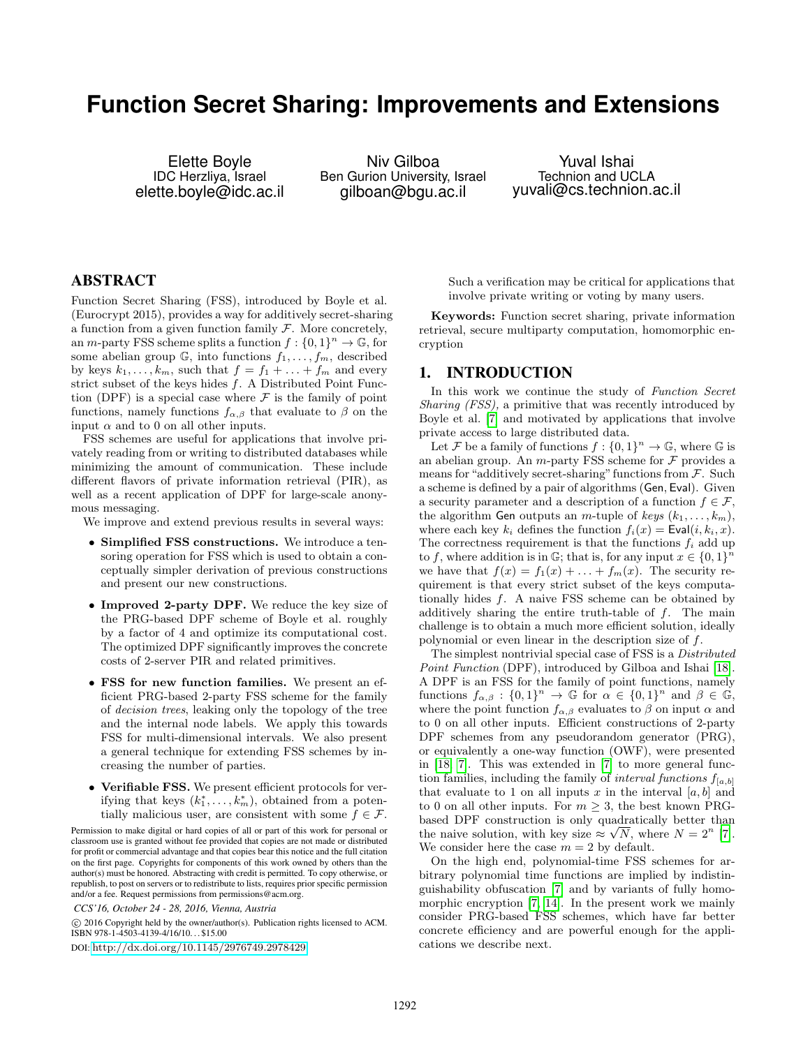# **Function Secret Sharing: Improvements and Extensions**

Elette Boyle IDC Herzliya, Israel elette.boyle@idc.ac.il

Niv Gilboa Ben Gurion University, Israel gilboan@bgu.ac.il

Yuval Ishai Technion and UCLA yuvali@cs.technion.ac.il

### ABSTRACT

Function Secret Sharing (FSS), introduced by Boyle et al. (Eurocrypt 2015), provides a way for additively secret-sharing a function from a given function family  $\mathcal F$ . More concretely, an *m*-party FSS scheme splits a function  $f: \{0,1\}^n \to \mathbb{G}$ , for some abelian group  $\mathbb{G}$ , into functions  $f_1, \ldots, f_m$ , described by keys  $k_1, \ldots, k_m$ , such that  $f = f_1 + \ldots + f_m$  and every strict subset of the keys hides  $f$ . A Distributed Point Function (DPF) is a special case where  $\mathcal F$  is the family of point functions, namely functions  $f_{\alpha,\beta}$  that evaluate to  $\beta$  on the input  $\alpha$  and to 0 on all other inputs.

FSS schemes are useful for applications that involve privately reading from or writing to distributed databases while minimizing the amount of communication. These include different flavors of private information retrieval (PIR), as well as a recent application of DPF for large-scale anonymous messaging.

We improve and extend previous results in several ways:

- Simplified FSS constructions. We introduce a tensoring operation for FSS which is used to obtain a conceptually simpler derivation of previous constructions and present our new constructions.
- Improved 2-party DPF. We reduce the key size of the PRG-based DPF scheme of Boyle et al. roughly by a factor of 4 and optimize its computational cost. The optimized DPF significantly improves the concrete costs of 2-server PIR and related primitives.
- FSS for new function families. We present an efficient PRG-based 2-party FSS scheme for the family of decision trees, leaking only the topology of the tree and the internal node labels. We apply this towards FSS for multi-dimensional intervals. We also present a general technique for extending FSS schemes by increasing the number of parties.
- Verifiable FSS. We present efficient protocols for verifying that keys  $(k_1^*, \ldots, k_m^*)$ , obtained from a potentially malicious user, are consistent with some  $f \in \mathcal{F}$ .

Permission to make digital or hard copies of all or part of this work for personal or classroom use is granted without fee provided that copies are not made or distributed for profit or commercial advantage and that copies bear this notice and the full citation on the first page. Copyrights for components of this work owned by others than the author(s) must be honored. Abstracting with credit is permitted. To copy otherwise, or republish, to post on servers or to redistribute to lists, requires prior specific permission and/or a fee. Request permissions from permissions@acm.org.

*CCS'16, October 24 - 28, 2016, Vienna, Austria*

 c 2016 Copyright held by the owner/author(s). Publication rights licensed to ACM. ISBN 978-1-4503-4139-4/16/10. . . \$15.00

DOI: <http://dx.doi.org/10.1145/2976749.2978429>

Such a verification may be critical for applications that involve private writing or voting by many users.

Keywords: Function secret sharing, private information retrieval, secure multiparty computation, homomorphic encryption

### 1. INTRODUCTION

In this work we continue the study of Function Secret Sharing (FSS), a primitive that was recently introduced by Boyle et al. [\[7\]](#page-10-0) and motivated by applications that involve private access to large distributed data.

Let F be a family of functions  $f: \{0,1\}^n \to \mathbb{G}$ , where  $\mathbb G$  is an abelian group. An *m*-party FSS scheme for  $\mathcal F$  provides a means for "additively secret-sharing" functions from  $\mathcal{F}$ . Such a scheme is defined by a pair of algorithms (Gen, Eval). Given a security parameter and a description of a function  $f \in \mathcal{F}$ , the algorithm Gen outputs an *m*-tuple of *keys*  $(k_1, \ldots, k_m)$ , where each key  $k_i$  defines the function  $f_i(x) = \text{Eval}(i, k_i, x)$ . The correctness requirement is that the functions  $f_i$  add up to f, where addition is in G; that is, for any input  $x \in \{0,1\}^n$ we have that  $f(x) = f_1(x) + \ldots + f_m(x)$ . The security requirement is that every strict subset of the keys computationally hides f. A naive FSS scheme can be obtained by additively sharing the entire truth-table of  $f$ . The main challenge is to obtain a much more efficient solution, ideally polynomial or even linear in the description size of f.

The simplest nontrivial special case of FSS is a Distributed Point Function (DPF), introduced by Gilboa and Ishai [\[18\]](#page-10-1). A DPF is an FSS for the family of point functions, namely functions  $f_{\alpha,\beta} : \{0,1\}^n \to \mathbb{G}$  for  $\alpha \in \{0,1\}^n$  and  $\beta \in \mathbb{G}$ , where the point function  $f_{\alpha,\beta}$  evaluates to  $\beta$  on input  $\alpha$  and to 0 on all other inputs. Efficient constructions of 2-party DPF schemes from any pseudorandom generator (PRG), or equivalently a one-way function (OWF), were presented in [\[18,](#page-10-1) [7\]](#page-10-0). This was extended in [\[7\]](#page-10-0) to more general function families, including the family of *interval functions*  $f_{[a,b]}$ that evaluate to 1 on all inputs x in the interval  $[a, b]$  and to 0 on all other inputs. For  $m \geq 3$ , the best known PRGbased DPF construction is only quadratically better than √ the naive solution, with key size  $\approx \sqrt{N}$ , where  $N = 2^{n}$  [\[7\]](#page-10-0). We consider here the case  $m = 2$  by default.

On the high end, polynomial-time FSS schemes for arbitrary polynomial time functions are implied by indistinguishability obfuscation [\[7\]](#page-10-0) and by variants of fully homomorphic encryption [\[7,](#page-10-0) [14\]](#page-10-2). In the present work we mainly consider PRG-based FSS schemes, which have far better concrete efficiency and are powerful enough for the applications we describe next.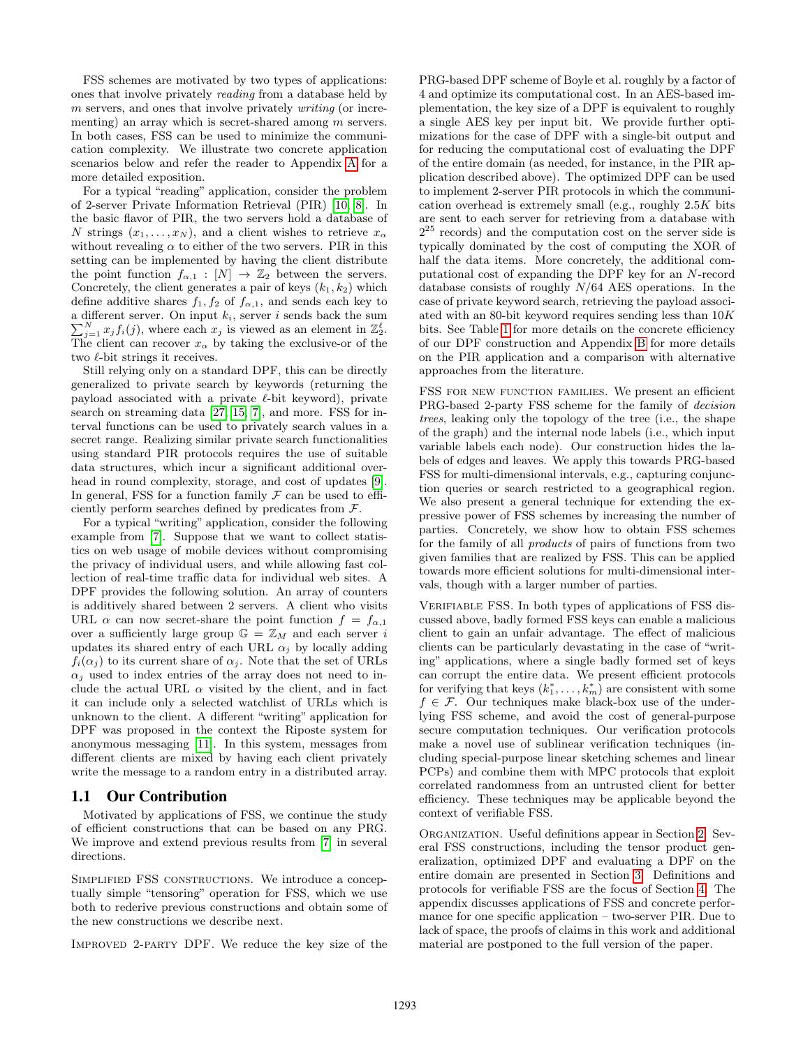FSS schemes are motivated by two types of applications: ones that involve privately reading from a database held by m servers, and ones that involve privately writing (or incrementing) an array which is secret-shared among m servers. In both cases, FSS can be used to minimize the communication complexity. We illustrate two concrete application scenarios below and refer the reader to Appendix [A](#page-11-0) for a more detailed exposition.

For a typical "reading" application, consider the problem of 2-server Private Information Retrieval (PIR) [\[10,](#page-10-3) [8\]](#page-10-4). In the basic flavor of PIR, the two servers hold a database of N strings  $(x_1, \ldots, x_N)$ , and a client wishes to retrieve  $x_\alpha$ without revealing  $\alpha$  to either of the two servers. PIR in this setting can be implemented by having the client distribute the point function  $f_{\alpha,1} : [N] \rightarrow \mathbb{Z}_2$  between the servers. Concretely, the client generates a pair of keys  $(k_1, k_2)$  which define additive shares  $f_1, f_2$  of  $f_{\alpha,1}$ , and sends each key to a different server. On input  $k_i$ , server i sends back the sum  $\sum_{j=1}^{N} x_j f_i(j)$ , where each  $x_j$  is viewed as an element in  $\mathbb{Z}_2^{\ell}$ . The client can recover  $x_{\alpha}$  by taking the exclusive-or of the two  $\ell$ -bit strings it receives.

Still relying only on a standard DPF, this can be directly generalized to private search by keywords (returning the payload associated with a private  $\ell$ -bit keyword), private search on streaming data [\[27,](#page-11-1) [15,](#page-10-5) [7\]](#page-10-0), and more. FSS for interval functions can be used to privately search values in a secret range. Realizing similar private search functionalities using standard PIR protocols requires the use of suitable data structures, which incur a significant additional overhead in round complexity, storage, and cost of updates [\[9\]](#page-10-6). In general, FSS for a function family  $\mathcal F$  can be used to efficiently perform searches defined by predicates from  $\mathcal{F}$ .

For a typical "writing" application, consider the following example from [\[7\]](#page-10-0). Suppose that we want to collect statistics on web usage of mobile devices without compromising the privacy of individual users, and while allowing fast collection of real-time traffic data for individual web sites. A DPF provides the following solution. An array of counters is additively shared between 2 servers. A client who visits URL  $\alpha$  can now secret-share the point function  $f = f_{\alpha,1}$ over a sufficiently large group  $\mathbb{G} = \mathbb{Z}_M$  and each server i updates its shared entry of each URL  $\alpha_j$  by locally adding  $f_i(\alpha_j)$  to its current share of  $\alpha_j$ . Note that the set of URLs  $\alpha_j$  used to index entries of the array does not need to include the actual URL  $\alpha$  visited by the client, and in fact it can include only a selected watchlist of URLs which is unknown to the client. A different "writing" application for DPF was proposed in the context the Riposte system for anonymous messaging [\[11\]](#page-10-7). In this system, messages from different clients are mixed by having each client privately write the message to a random entry in a distributed array.

#### 1.1 Our Contribution

Motivated by applications of FSS, we continue the study of efficient constructions that can be based on any PRG. We improve and extend previous results from [\[7\]](#page-10-0) in several directions.

SIMPLIFIED FSS CONSTRUCTIONS. We introduce a conceptually simple "tensoring" operation for FSS, which we use both to rederive previous constructions and obtain some of the new constructions we describe next.

Improved 2-party DPF. We reduce the key size of the

PRG-based DPF scheme of Boyle et al. roughly by a factor of 4 and optimize its computational cost. In an AES-based implementation, the key size of a DPF is equivalent to roughly a single AES key per input bit. We provide further optimizations for the case of DPF with a single-bit output and for reducing the computational cost of evaluating the DPF of the entire domain (as needed, for instance, in the PIR application described above). The optimized DPF can be used to implement 2-server PIR protocols in which the communication overhead is extremely small (e.g., roughly  $2.5K$  bits are sent to each server for retrieving from a database with  $2^{25}$  records) and the computation cost on the server side is typically dominated by the cost of computing the XOR of half the data items. More concretely, the additional computational cost of expanding the DPF key for an N-record database consists of roughly  $N/64$  AES operations. In the case of private keyword search, retrieving the payload associated with an 80-bit keyword requires sending less than 10K bits. See Table [1](#page-4-0) for more details on the concrete efficiency of our DPF construction and Appendix [B](#page-11-2) for more details on the PIR application and a comparison with alternative approaches from the literature.

FSS FOR NEW FUNCTION FAMILIES. We present an efficient PRG-based 2-party FSS scheme for the family of decision trees, leaking only the topology of the tree (i.e., the shape of the graph) and the internal node labels (i.e., which input variable labels each node). Our construction hides the labels of edges and leaves. We apply this towards PRG-based FSS for multi-dimensional intervals, e.g., capturing conjunction queries or search restricted to a geographical region. We also present a general technique for extending the expressive power of FSS schemes by increasing the number of parties. Concretely, we show how to obtain FSS schemes for the family of all products of pairs of functions from two given families that are realized by FSS. This can be applied towards more efficient solutions for multi-dimensional intervals, though with a larger number of parties.

VERIFIABLE FSS. In both types of applications of FSS discussed above, badly formed FSS keys can enable a malicious client to gain an unfair advantage. The effect of malicious clients can be particularly devastating in the case of "writing" applications, where a single badly formed set of keys can corrupt the entire data. We present efficient protocols for verifying that keys  $(k_1^*, \ldots, k_m^*)$  are consistent with some  $f \in \mathcal{F}$ . Our techniques make black-box use of the underlying FSS scheme, and avoid the cost of general-purpose secure computation techniques. Our verification protocols make a novel use of sublinear verification techniques (including special-purpose linear sketching schemes and linear PCPs) and combine them with MPC protocols that exploit correlated randomness from an untrusted client for better efficiency. These techniques may be applicable beyond the context of verifiable FSS.

Organization. Useful definitions appear in Section [2.](#page-2-0) Several FSS constructions, including the tensor product generalization, optimized DPF and evaluating a DPF on the entire domain are presented in Section [3.](#page-2-1) Definitions and protocols for verifiable FSS are the focus of Section [4.](#page-5-0) The appendix discusses applications of FSS and concrete performance for one specific application – two-server PIR. Due to lack of space, the proofs of claims in this work and additional material are postponed to the full version of the paper.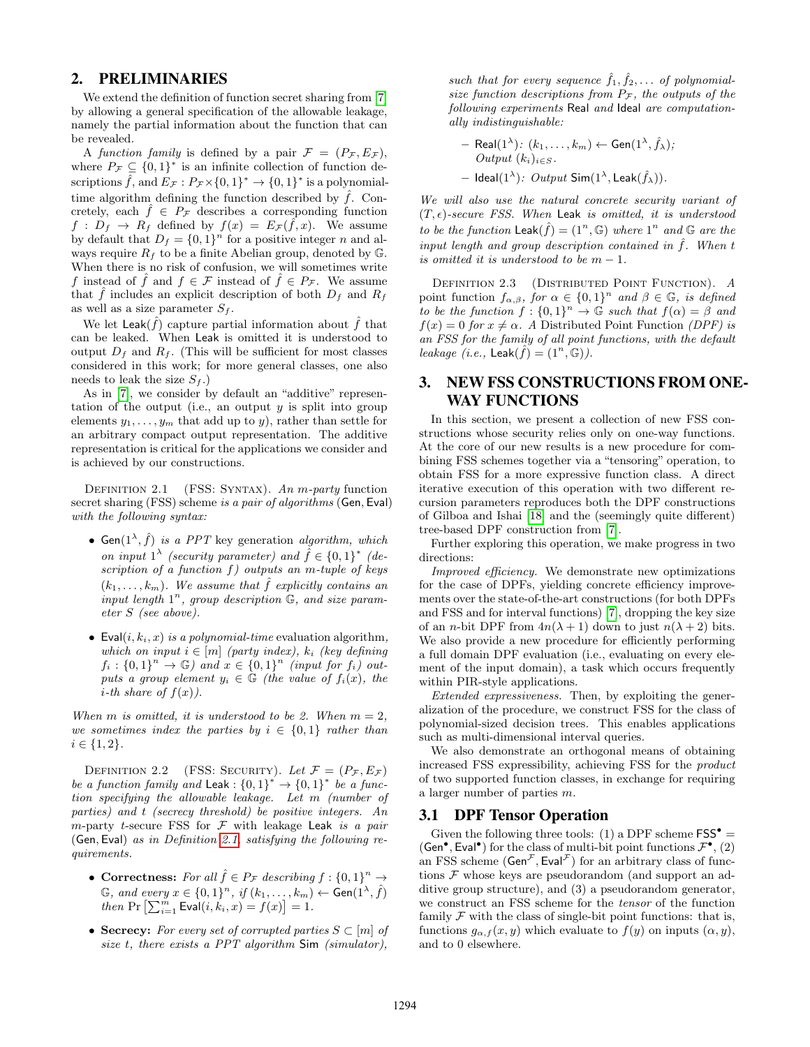### <span id="page-2-0"></span>2. PRELIMINARIES

We extend the definition of function secret sharing from [\[7\]](#page-10-0) by allowing a general specification of the allowable leakage, namely the partial information about the function that can be revealed.

A function family is defined by a pair  $\mathcal{F} = (P_{\mathcal{F}}, E_{\mathcal{F}})$ , where  $P_{\mathcal{F}} \subseteq \{0,1\}^*$  is an infinite collection of function descriptions  $\hat{f}$ , and  $E_{\mathcal{F}}: P_{\mathcal{F}} \times \{0,1\}^* \to \{0,1\}^*$  is a polynomialtime algorithm defining the function described by  $f$ . Concretely, each  $f \in P_{\mathcal{F}}$  describes a corresponding function  $f : D_f \to R_f$  defined by  $f(x) = E_{\mathcal{F}}(\hat{f},x)$ . We assume by default that  $D_f = \{0, 1\}^n$  for a positive integer n and always require  $R_f$  to be a finite Abelian group, denoted by  $\mathbb{G}$ . When there is no risk of confusion, we will sometimes write f instead of f and  $f \in \mathcal{F}$  instead of  $\hat{f} \in P_{\mathcal{F}}$ . We assume that  $\ddot{f}$  includes an explicit description of both  $D_f$  and  $R_f$ as well as a size parameter  $S_f$ .

We let Leak $(\hat{f})$  capture partial information about  $\hat{f}$  that can be leaked. When Leak is omitted it is understood to output  $D_f$  and  $R_f$ . (This will be sufficient for most classes considered in this work; for more general classes, one also needs to leak the size  $S_f$ .)

As in [\[7\]](#page-10-0), we consider by default an "additive" representation of the output (i.e., an output  $y$  is split into group elements  $y_1, \ldots, y_m$  that add up to y), rather than settle for an arbitrary compact output representation. The additive representation is critical for the applications we consider and is achieved by our constructions.

<span id="page-2-2"></span>DEFINITION 2.1 (FSS: SYNTAX). An  $m$ -party function secret sharing (FSS) scheme is a pair of algorithms (Gen, Eval) with the following syntax:

- Gen $(1^{\lambda}, \hat{f})$  is a PPT key generation algorithm, which on input  $1^{\lambda}$  (security parameter) and  $\hat{f} \in \{0,1\}^*$  (description of a function  $f$ ) outputs an m-tuple of keys  $(k_1, \ldots, k_m)$ . We assume that  $\hat{f}$  explicitly contains an input length  $1^n$ , group description  $\mathbb{G}$ , and size parameter S (see above).
- Eval $(i, k_i, x)$  is a polynomial-time evaluation algorithm, which on input  $i \in [m]$  (party index),  $k_i$  (key defining  $f_i: \{0,1\}^n \to \mathbb{G}$  and  $x \in \{0,1\}^n$  (input for  $f_i$ ) outputs a group element  $y_i \in \mathbb{G}$  (the value of  $f_i(x)$ , the *i*-th share of  $f(x)$ .

When m is omitted, it is understood to be 2. When  $m = 2$ , we sometimes index the parties by  $i \in \{0,1\}$  rather than  $i \in \{1, 2\}.$ 

<span id="page-2-3"></span>DEFINITION 2.2 (FSS: SECURITY). Let  $\mathcal{F} = (P_{\mathcal{F}}, E_{\mathcal{F}})$ be a function family and Leak :  ${0,1}^* \rightarrow {0,1}^*$  be a function specifying the allowable leakage. Let m (number of parties) and t (secrecy threshold) be positive integers. An m-party t-secure FSS for  $F$  with leakage Leak is a pair (Gen, Eval) as in Definition [2.1,](#page-2-2) satisfying the following requirements.

- Correctness: For all  $\hat{f} \in P_{\mathcal{F}}$  describing  $f : \{0,1\}^n \to$  $\mathbb{G}$ , and every  $x \in \{0,1\}^n$ , if  $(k_1, \ldots, k_m) \leftarrow$  Gen $(1^{\lambda}, \hat{f})$ then Pr  $\left[\sum_{i=1}^m \textsf{Eval}(i, k_i, x) = f(x)\right] = 1.$
- Secrecy: For every set of corrupted parties  $S \subset [m]$  of size t, there exists a PPT algorithm Sim (simulator),

such that for every sequence  $\hat{f}_1, \hat{f}_2, \ldots$  of polynomialsize function descriptions from  $P_{\mathcal{F}}$ , the outputs of the following experiments Real and Ideal are computationally indistinguishable:

$$
- \operatorname{Real}(1^{\lambda}) : (k_1, \ldots, k_m) \leftarrow \operatorname{Gen}(1^{\lambda}, \hat{f}_{\lambda}) ;
$$
  
\n
$$
Output (k_i)_{i \in S}.
$$
  
\n
$$
- \operatorname{Ideal}(1^{\lambda}) : Output \operatorname{Sim}(1^{\lambda}, \operatorname{Leak}(\hat{f}_{\lambda})).
$$

We will also use the natural concrete security variant of  $(T, \epsilon)$ -secure FSS. When Leak is omitted, it is understood to be the function Leak $(\hat{f}) = (1^n, \mathbb{G})$  where  $1^n$  and  $\mathbb{G}$  are the input length and group description contained in  $\hat{f}$ . When t is omitted it is understood to be  $m-1$ .

DEFINITION 2.3 (DISTRIBUTED POINT FUNCTION). A point function  $f_{\alpha,\beta}$ , for  $\alpha \in \{0,1\}^n$  and  $\beta \in \mathbb{G}$ , is defined to be the function  $f: \{0,1\}^n \to \mathbb{G}$  such that  $f(\alpha) = \beta$  and  $f(x) = 0$  for  $x \neq \alpha$ . A Distributed Point Function (DPF) is an FSS for the family of all point functions, with the default leakage (i.e., Leak $(\hat{f}) = (1^n, \mathbb{G})$ ).

# <span id="page-2-1"></span>3. NEW FSS CONSTRUCTIONS FROM ONE-WAY FUNCTIONS

In this section, we present a collection of new FSS constructions whose security relies only on one-way functions. At the core of our new results is a new procedure for combining FSS schemes together via a "tensoring" operation, to obtain FSS for a more expressive function class. A direct iterative execution of this operation with two different recursion parameters reproduces both the DPF constructions of Gilboa and Ishai [\[18\]](#page-10-1) and the (seemingly quite different) tree-based DPF construction from [\[7\]](#page-10-0).

Further exploring this operation, we make progress in two directions:

Improved efficiency. We demonstrate new optimizations for the case of DPFs, yielding concrete efficiency improvements over the state-of-the-art constructions (for both DPFs and FSS and for interval functions) [\[7\]](#page-10-0), dropping the key size of an *n*-bit DPF from  $4n(\lambda + 1)$  down to just  $n(\lambda + 2)$  bits. We also provide a new procedure for efficiently performing a full domain DPF evaluation (i.e., evaluating on every element of the input domain), a task which occurs frequently within PIR-style applications.

Extended expressiveness. Then, by exploiting the generalization of the procedure, we construct FSS for the class of polynomial-sized decision trees. This enables applications such as multi-dimensional interval queries.

We also demonstrate an orthogonal means of obtaining increased FSS expressibility, achieving FSS for the product of two supported function classes, in exchange for requiring a larger number of parties m.

#### 3.1 DPF Tensor Operation

Given the following three tools: (1) a DPF scheme  $\text{FSS}^{\bullet} =$ (Gen<sup>•</sup>, Eval<sup>•</sup>) for the class of multi-bit point functions  $\mathcal{F}^{\bullet}$ , (2) an FSS scheme ( $Gen<sup>F</sup>$ , Eval<sup> $F$ </sup>) for an arbitrary class of functions  $F$  whose keys are pseudorandom (and support an additive group structure), and (3) a pseudorandom generator, we construct an FSS scheme for the tensor of the function family  $\mathcal F$  with the class of single-bit point functions: that is, functions  $g_{\alpha,f}(x, y)$  which evaluate to  $f(y)$  on inputs  $(\alpha, y)$ , and to 0 elsewhere.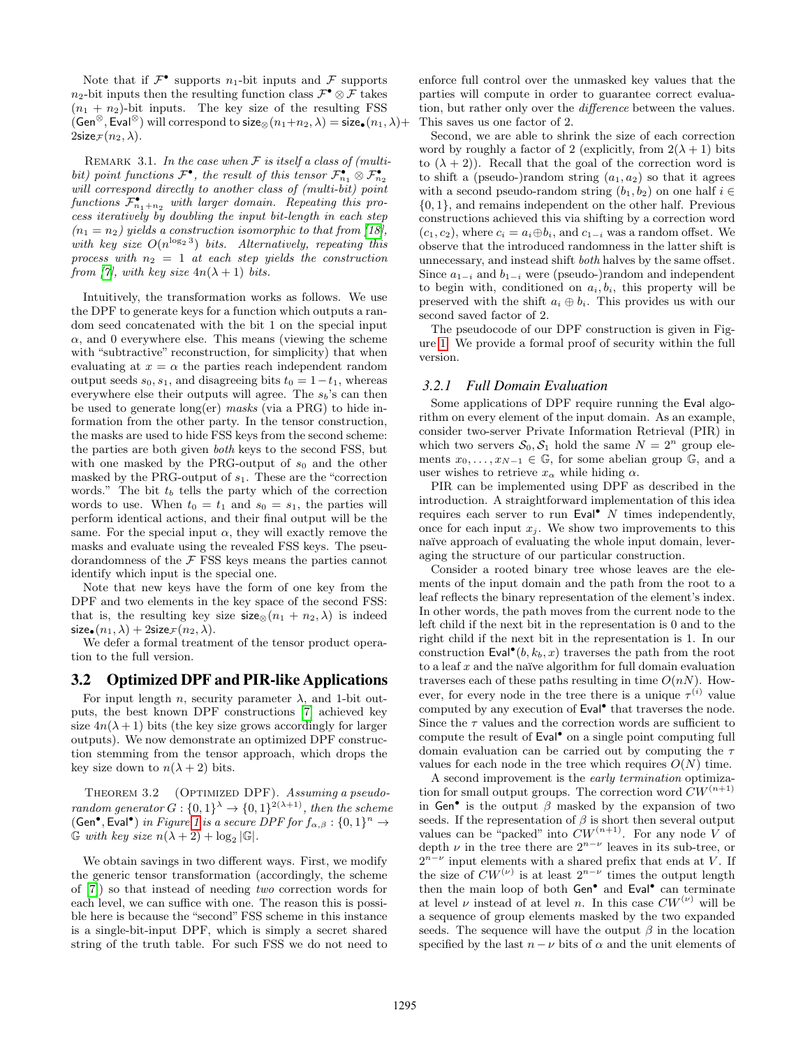Note that if  $\mathcal{F}^{\bullet}$  supports  $n_1$ -bit inputs and  $\mathcal F$  supports  $n_2$ -bit inputs then the resulting function class  $\mathcal{F}^{\bullet} \otimes \mathcal{F}$  takes  $(n_1 + n_2)$ -bit inputs. The key size of the resulting FSS  $(\mathsf{Gen}^{\otimes}, \mathsf{Eval}^{\otimes})$  will correspond to size<sub> $\otimes$ </sub> $(n_1+n_2, \lambda) = \mathsf{size}_\bullet(n_1, \lambda) +$  $2$ size $\mathcal{F} (n_2, \lambda)$ .

REMARK 3.1. In the case when  $\mathcal F$  is itself a class of (multibit) point functions  $\mathcal{F}^{\bullet}$ , the result of this tensor  $\mathcal{F}^{\bullet}_{n_1} \otimes \mathcal{F}^{\bullet}_{n_2}$ will correspond directly to another class of (multi-bit) point functions  $\mathcal{F}^{\bullet}_{n_1+n_2}$  with larger domain. Repeating this process iteratively by doubling the input bit-length in each step  $(n_1 = n_2)$  yields a construction isomorphic to that from [\[18\]](#page-10-1), with key size  $O(n^{\log_2 3})$  bits. Alternatively, repeating this process with  $n_2 = 1$  at each step yields the construction from [\[7\]](#page-10-0), with key size  $4n(\lambda + 1)$  bits.

Intuitively, the transformation works as follows. We use the DPF to generate keys for a function which outputs a random seed concatenated with the bit 1 on the special input  $\alpha$ , and 0 everywhere else. This means (viewing the scheme with "subtractive" reconstruction, for simplicity) that when evaluating at  $x = \alpha$  the parties reach independent random output seeds  $s_0, s_1$ , and disagreeing bits  $t_0 = 1-t_1$ , whereas everywhere else their outputs will agree. The  $s_b$ 's can then be used to generate long(er) masks (via a PRG) to hide information from the other party. In the tensor construction, the masks are used to hide FSS keys from the second scheme: the parties are both given both keys to the second FSS, but with one masked by the PRG-output of  $s_0$  and the other masked by the PRG-output of  $s_1$ . These are the "correction" words." The bit  $t_b$  tells the party which of the correction words to use. When  $t_0 = t_1$  and  $s_0 = s_1$ , the parties will perform identical actions, and their final output will be the same. For the special input  $\alpha$ , they will exactly remove the masks and evaluate using the revealed FSS keys. The pseudorandomness of the  $\mathcal F$  FSS keys means the parties cannot identify which input is the special one.

Note that new keys have the form of one key from the DPF and two elements in the key space of the second FSS: that is, the resulting key size size<sub>⊗</sub> $(n_1 + n_2, \lambda)$  is indeed  $size_{\bullet}(n_1, \lambda) + 2size_{\mathcal{F}}(n_2, \lambda).$ 

We defer a formal treatment of the tensor product operation to the full version.

#### 3.2 Optimized DPF and PIR-like Applications

For input length *n*, security parameter  $\lambda$ , and 1-bit outputs, the best known DPF constructions [\[7\]](#page-10-0) achieved key size  $4n(\lambda + 1)$  bits (the key size grows accordingly for larger outputs). We now demonstrate an optimized DPF construction stemming from the tensor approach, which drops the key size down to  $n(\lambda + 2)$  bits.

THEOREM 3.2 (OPTIMIZED DPF). Assuming a pseudorandom generator  $G: \{0,1\}^{\lambda} \to \{0,1\}^{2(\lambda+1)}$ , then the scheme (Gen<sup>•</sup>, Eval<sup>•</sup>) in Figure [1](#page-4-1) is a secure DPF for  $f_{\alpha,\beta} : \{0,1\}^n \to$  $\mathbb G$  with key size  $n(\lambda + 2) + \log_2 |\mathbb G|.$ 

We obtain savings in two different ways. First, we modify the generic tensor transformation (accordingly, the scheme of [\[7\]](#page-10-0)) so that instead of needing two correction words for each level, we can suffice with one. The reason this is possible here is because the "second" FSS scheme in this instance is a single-bit-input DPF, which is simply a secret shared string of the truth table. For such FSS we do not need to enforce full control over the unmasked key values that the parties will compute in order to guarantee correct evaluation, but rather only over the difference between the values. This saves us one factor of 2.

Second, we are able to shrink the size of each correction word by roughly a factor of 2 (explicitly, from  $2(\lambda + 1)$ ) bits to  $(\lambda + 2)$ . Recall that the goal of the correction word is to shift a (pseudo-)random string  $(a_1, a_2)$  so that it agrees with a second pseudo-random string  $(b_1, b_2)$  on one half  $i \in$ {0, 1}, and remains independent on the other half. Previous constructions achieved this via shifting by a correction word  $(c_1, c_2)$ , where  $c_i = a_i \oplus b_i$ , and  $c_{1-i}$  was a random offset. We observe that the introduced randomness in the latter shift is unnecessary, and instead shift both halves by the same offset. Since  $a_{1-i}$  and  $b_{1-i}$  were (pseudo-)random and independent to begin with, conditioned on  $a_i, b_i$ , this property will be preserved with the shift  $a_i \oplus b_i$ . This provides us with our second saved factor of 2.

The pseudocode of our DPF construction is given in Figure [1.](#page-4-1) We provide a formal proof of security within the full version.

#### <span id="page-3-0"></span>*3.2.1 Full Domain Evaluation*

Some applications of DPF require running the Eval algorithm on every element of the input domain. As an example, consider two-server Private Information Retrieval (PIR) in which two servers  $S_0, S_1$  hold the same  $N = 2^n$  group elements  $x_0, \ldots, x_{N-1} \in \mathbb{G}$ , for some abelian group  $\mathbb{G}$ , and a user wishes to retrieve  $x_{\alpha}$  while hiding  $\alpha$ .

PIR can be implemented using DPF as described in the introduction. A straightforward implementation of this idea requires each server to run Eval<sup> $\bullet$ </sup> N times independently, once for each input  $x_j$ . We show two improvements to this naïve approach of evaluating the whole input domain, leveraging the structure of our particular construction.

Consider a rooted binary tree whose leaves are the elements of the input domain and the path from the root to a leaf reflects the binary representation of the element's index. In other words, the path moves from the current node to the left child if the next bit in the representation is 0 and to the right child if the next bit in the representation is 1. In our construction  $\text{Eval}^{\bullet}(b, k_b, x)$  traverses the path from the root to a leaf  $x$  and the naïve algorithm for full domain evaluation traverses each of these paths resulting in time  $O(nN)$ . However, for every node in the tree there is a unique  $\tau^{(i)}$  value computed by any execution of Eval<sup>•</sup> that traverses the node. Since the  $\tau$  values and the correction words are sufficient to compute the result of Eval<sup>•</sup> on a single point computing full domain evaluation can be carried out by computing the  $\tau$ values for each node in the tree which requires  $O(N)$  time.

A second improvement is the early termination optimization for small output groups. The correction word  $CW^{(n+1)}$ in Gen<sup>•</sup> is the output  $\beta$  masked by the expansion of two seeds. If the representation of  $\beta$  is short then several output values can be "packed" into  $CW^{(n+1)}$ . For any node V of depth  $\nu$  in the tree there are  $2^{n-\nu}$  leaves in its sub-tree, or  $2^{n-\nu}$  input elements with a shared prefix that ends at V. If the size of  $CW^{(\nu)}$  is at least  $2^{n-\nu}$  times the output length then the main loop of both Gen<sup>•</sup> and Eval<sup>•</sup> can terminate at level  $\nu$  instead of at level n. In this case  $CW^{(\nu)}$  will be a sequence of group elements masked by the two expanded seeds. The sequence will have the output  $\beta$  in the location specified by the last  $n - \nu$  bits of  $\alpha$  and the unit elements of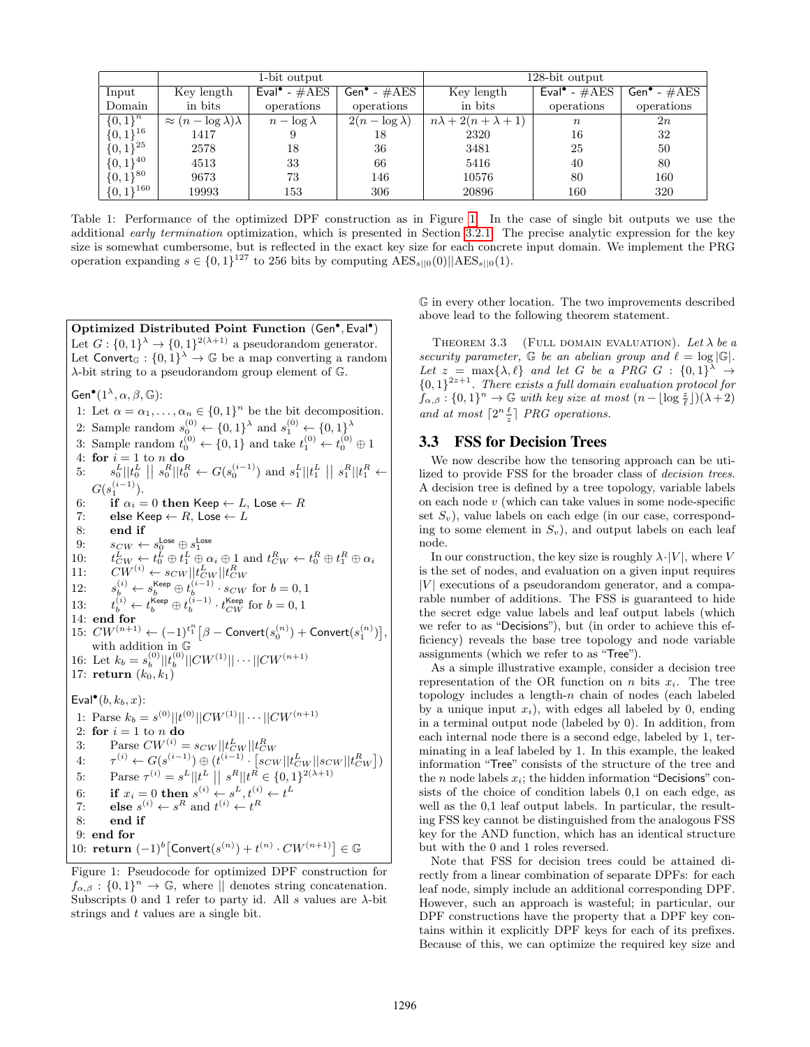<span id="page-4-0"></span>

|                   | 1-bit output                                   |                                     |                                 | 128-bit output                  |                                     |                                 |
|-------------------|------------------------------------------------|-------------------------------------|---------------------------------|---------------------------------|-------------------------------------|---------------------------------|
| Input             | Key length                                     | Eval <sup>•</sup> - $\# \text{AES}$ | Gen $\bullet$ - $\# \text{AES}$ | Key length                      | Eval <sup>•</sup> - $\# \text{AES}$ | Gen $\bullet$ - $\# \text{AES}$ |
| Domain            | in bits                                        | operations                          | operations                      | in bits                         | operations                          | operations                      |
| $\{0,1\}^n$       | $\approx (n - \log \lambda)\overline{\lambda}$ | $\overline{n} - \log \lambda$       | $2(n - \log \lambda)$           | $n\lambda + 2(n + \lambda + 1)$ | $\boldsymbol{n}$                    | 2n                              |
| $\{0,1\}^{16}$    | 1417                                           |                                     | 18                              | 2320                            | 16                                  | 32                              |
| $\{0,1\}^{25}$    | 2578                                           | 18                                  | 36                              | 3481                            | 25                                  | 50                              |
| $\{0,1\}^{40}$    | 4513                                           | 33                                  | 66                              | 5416                            | 40                                  | 80                              |
| $\{0,1\}^{80}$    | 9673                                           | 73                                  | 146                             | 10576                           | 80                                  | 160                             |
| $\{0,1\}^{160}$ + | 19993                                          | 153                                 | 306                             | 20896                           | 160                                 | 320                             |

Table 1: Performance of the optimized DPF construction as in Figure [1.](#page-4-1) In the case of single bit outputs we use the additional early termination optimization, which is presented in Section [3.2.1.](#page-3-0) The precise analytic expression for the key size is somewhat cumbersome, but is reflected in the exact key size for each concrete input domain. We implement the PRG operation expanding  $s \in \{0,1\}^{127}$  to 256 bits by computing  $\text{AES}_{s||0}(0)||\text{AES}_{s||0}(1)$ .

<span id="page-4-1"></span>Optimized Distributed Point Function (Gen<sup>.</sup>, Eval<sup>.</sup>) Let  $G: \{0,1\}^{\lambda} \to \{0,1\}^{2(\lambda+1)}$  a pseudorandom generator. Let Convert<sub> $G : \{0,1\}^{\lambda} \to \mathbb{G}$  be a map converting a random</sub> λ-bit string to a pseudorandom group element of G.

Gen<sup>•</sup> $(1^{\lambda}, \alpha, \beta, \mathbb{G})$ :

1: Let  $\alpha = \alpha_1, \ldots, \alpha_n \in \{0,1\}^n$  be the bit decomposition. 2: Sample random  $s_0^{(0)} \leftarrow \{0, 1\}^{\lambda}$  and  $s_1^{(0)} \leftarrow \{0, 1\}^{\lambda}$ 3: Sample random  $t_0^{(0)} \leftarrow \{0, 1\}$  and take  $t_1^{(0)} \leftarrow t_0^{(0)} \oplus 1$ 4: for  $i = 1$  to n do 5:  $s_0^L ||t_0^L || s_0^R || t_0^R \leftarrow G(s_0^{(i-1)})$  and  $s_1^L || t_1^L || s_1^R || t_1^R \leftarrow$  $G(s_1^{(i-1)})$ . 6: if  $\alpha_i = 0$  then Keep  $\leftarrow L$ , Lose  $\leftarrow R$ 7: else Keep  $\leftarrow R$ , Lose  $\leftarrow L$ 8: end if 9:  $s_{CW} \leftarrow s_0^{\text{Loss}} \oplus s_1^{\text{Loss}}$ <br>
0:  $t_{CW}^L \leftarrow t_0^L \oplus t_1^L \oplus \alpha_i \oplus 1 \text{ and } t_{CW}^R \leftarrow t_0^R \oplus t_1^R \oplus \alpha_i$  $10:$ 11:  $CW^{(i)} \leftarrow scw || t_{CW}^H || t_{CW}^R$ <br>
12:  $s_b^{(i)} \leftarrow s_b^{\text{Keep}} \oplus t_b^{(i-1)} \cdot s_{CW} \text{ for } b = 0, 1$ <br>
13:  $t_b^{(i)} \leftarrow t_b^{\text{Keep}} \oplus t_b^{(i-1)} \cdot t_{CW}^{\text{keep}} \text{ for } b = 0, 1$  $12:$ 13:  $t$ 14: end for 15:  $CW^{(n+1)} \leftarrow (-1)^{t_1^n} \big[ \beta - \text{Convert}(s_0^{(n)}) + \text{Convert}(s_1^{(n)}) \big],$ with addition in G 16: Let  $k_b = s_b^{(0)} \vert \vert t_b^{(0)} \vert \vert CW^{(1)} \vert \vert \cdots \vert \vert CW^{(n+1)}$ 17: return  $(k_0, k_1)$ Eval<sup>•</sup> $(b, k_b, x)$ : 1: Parse  $k_b = s^{(0)}||t^{(0)}||CW^{(1)}|| \cdots ||CW^{(n+1)}||$ 2: for  $i = 1$  to  $n$  do 3: Parse  $CW^{(i)} = s_{CW} || t_{CW}^L || t_{CW}^R$ <br>4:  $\tau^{(i)} \leftarrow G(s^{(i-1)}) \oplus (t^{(i-1)} \cdot [s_{CW} || t_{CW}^L || s_{CW} || t_{CW}^R])$ 5: Parse  $\tau^{(i)} = s^L ||t^L|| \ s^R ||t^R \in \{0,1\}^{2(\lambda+1)}$ 6: if  $x_i = 0$  then  $s^{(i)} \leftarrow s^L, t^{(i)} \leftarrow t^L$ 7: else  $s^{(i)} \leftarrow s^R$  and  $t^{(i)} \leftarrow t^R$ 8: end if 9: end for 10:  $\text{return } (-1)^b [\text{Convert}(s^{(n)}) + t^{(n)} \cdot CW^{(n+1)}] \in \mathbb{G}$ 

Figure 1: Pseudocode for optimized DPF construction for  $f_{\alpha,\beta} : \{0,1\}^n \to \mathbb{G}$ , where  $\|\$  denotes string concatenation. Subscripts 0 and 1 refer to party id. All s values are  $\lambda$ -bit strings and t values are a single bit.

G in every other location. The two improvements described above lead to the following theorem statement.

<span id="page-4-2"></span>THEOREM 3.3 (FULL DOMAIN EVALUATION). Let  $\lambda$  be a security parameter,  $\mathbb G$  be an abelian group and  $\ell = \log |\mathbb G|$ . Let  $z = \max\{\lambda, \ell\}$  and let G be a PRG  $G : \{0,1\}^{\lambda} \rightarrow$  ${0,1}^{2z+1}$ . There exists a full domain evaluation protocol for  $f_{\alpha,\beta} : \{0,1\}^n \to \mathbb{G}$  with key size at most  $(n - \lfloor \log \frac{z}{\ell} \rfloor)(\lambda + 2)$ and at most  $\lceil 2^n \frac{\ell}{z} \rceil$  PRG operations.

### 3.3 FSS for Decision Trees

We now describe how the tensoring approach can be utilized to provide FSS for the broader class of decision trees. A decision tree is defined by a tree topology, variable labels on each node  $v$  (which can take values in some node-specific set  $S_v$ ), value labels on each edge (in our case, corresponding to some element in  $S_v$ ), and output labels on each leaf node.

In our construction, the key size is roughly  $\lambda$   $|V|$ , where V is the set of nodes, and evaluation on a given input requires  $|V|$  executions of a pseudorandom generator, and a comparable number of additions. The FSS is guaranteed to hide the secret edge value labels and leaf output labels (which we refer to as "Decisions"), but (in order to achieve this efficiency) reveals the base tree topology and node variable assignments (which we refer to as "Tree").

As a simple illustrative example, consider a decision tree representation of the OR function on n bits  $x_i$ . The tree topology includes a length-n chain of nodes (each labeled by a unique input  $x_i$ ), with edges all labeled by 0, ending in a terminal output node (labeled by 0). In addition, from each internal node there is a second edge, labeled by 1, terminating in a leaf labeled by 1. In this example, the leaked information "Tree" consists of the structure of the tree and the *n* node labels  $x_i$ ; the hidden information "Decisions" consists of the choice of condition labels 0,1 on each edge, as well as the 0,1 leaf output labels. In particular, the resulting FSS key cannot be distinguished from the analogous FSS key for the AND function, which has an identical structure but with the 0 and 1 roles reversed.

Note that FSS for decision trees could be attained directly from a linear combination of separate DPFs: for each leaf node, simply include an additional corresponding DPF. However, such an approach is wasteful; in particular, our DPF constructions have the property that a DPF key contains within it explicitly DPF keys for each of its prefixes. Because of this, we can optimize the required key size and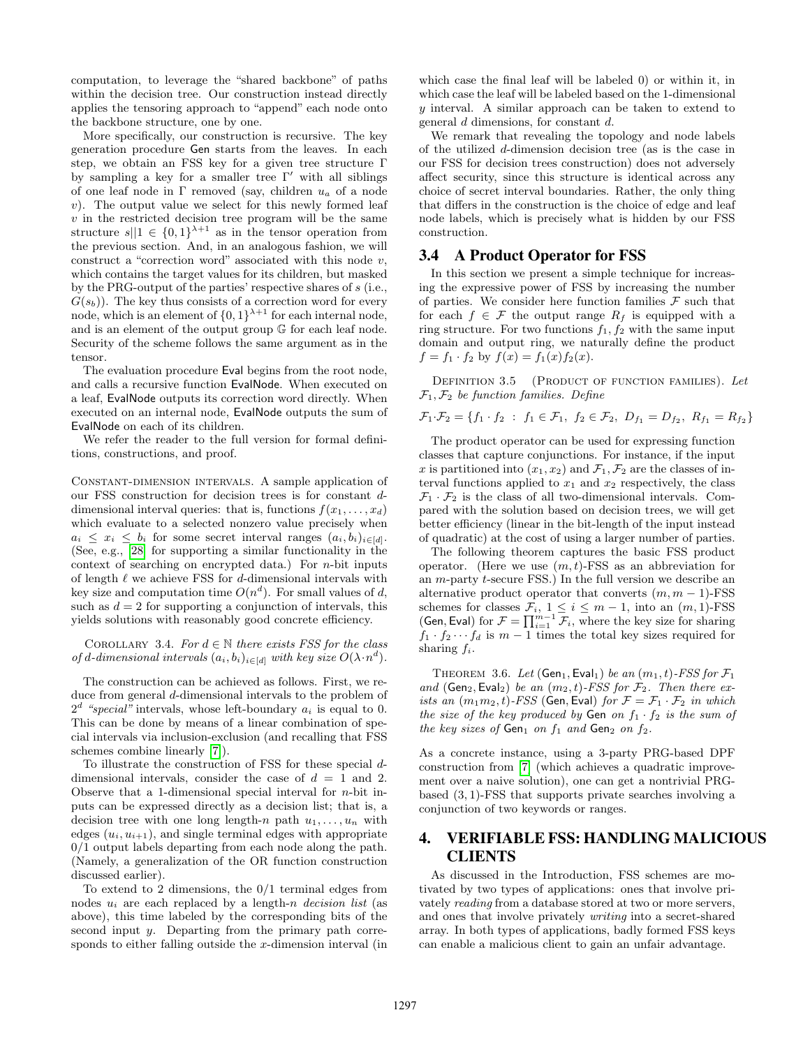computation, to leverage the "shared backbone" of paths within the decision tree. Our construction instead directly applies the tensoring approach to "append" each node onto the backbone structure, one by one.

More specifically, our construction is recursive. The key generation procedure Gen starts from the leaves. In each step, we obtain an FSS key for a given tree structure Γ by sampling a key for a smaller tree  $\Gamma'$  with all siblings of one leaf node in  $\Gamma$  removed (say, children  $u_a$  of a node  $v$ ). The output value we select for this newly formed leaf  $v$  in the restricted decision tree program will be the same structure  $s||1 \in \{0,1\}^{\lambda+1}$  as in the tensor operation from the previous section. And, in an analogous fashion, we will construct a "correction word" associated with this node  $v$ , which contains the target values for its children, but masked by the PRG-output of the parties' respective shares of s (i.e.,  $G(s_b)$ ). The key thus consists of a correction word for every node, which is an element of  $\{0,1\}^{\lambda+1}$  for each internal node, and is an element of the output group G for each leaf node. Security of the scheme follows the same argument as in the tensor.

The evaluation procedure Eval begins from the root node, and calls a recursive function EvalNode. When executed on a leaf, EvalNode outputs its correction word directly. When executed on an internal node, EvalNode outputs the sum of EvalNode on each of its children.

We refer the reader to the full version for formal definitions, constructions, and proof.

Constant-dimension intervals. A sample application of our FSS construction for decision trees is for constant ddimensional interval queries: that is, functions  $f(x_1, \ldots, x_d)$ which evaluate to a selected nonzero value precisely when  $a_i \leq x_i \leq b_i$  for some secret interval ranges  $(a_i, b_i)_{i \in [d]}$ . (See, e.g., [\[28\]](#page-11-3) for supporting a similar functionality in the context of searching on encrypted data.) For  $n$ -bit inputs of length  $\ell$  we achieve FSS for d-dimensional intervals with key size and computation time  $O(n^d)$ . For small values of d, such as  $d = 2$  for supporting a conjunction of intervals, this yields solutions with reasonably good concrete efficiency.

COROLLARY 3.4. For  $d \in \mathbb{N}$  there exists FSS for the class of d-dimensional intervals  $(a_i, b_i)_{i \in [d]}$  with key size  $O(\lambda \cdot n^d)$ .

The construction can be achieved as follows. First, we reduce from general d-dimensional intervals to the problem of  $2^d$  "special" intervals, whose left-boundary  $a_i$  is equal to 0. This can be done by means of a linear combination of special intervals via inclusion-exclusion (and recalling that FSS schemes combine linearly [\[7\]](#page-10-0)).

To illustrate the construction of FSS for these special ddimensional intervals, consider the case of  $d = 1$  and 2. Observe that a 1-dimensional special interval for n-bit inputs can be expressed directly as a decision list; that is, a decision tree with one long length-n path  $u_1, \ldots, u_n$  with edges  $(u_i, u_{i+1})$ , and single terminal edges with appropriate 0/1 output labels departing from each node along the path. (Namely, a generalization of the OR function construction discussed earlier).

To extend to 2 dimensions, the 0/1 terminal edges from nodes  $u_i$  are each replaced by a length-n *decision list* (as above), this time labeled by the corresponding bits of the second input  $y$ . Departing from the primary path corresponds to either falling outside the x-dimension interval (in which case the final leaf will be labeled 0) or within it, in which case the leaf will be labeled based on the 1-dimensional y interval. A similar approach can be taken to extend to general d dimensions, for constant d.

We remark that revealing the topology and node labels of the utilized d-dimension decision tree (as is the case in our FSS for decision trees construction) does not adversely affect security, since this structure is identical across any choice of secret interval boundaries. Rather, the only thing that differs in the construction is the choice of edge and leaf node labels, which is precisely what is hidden by our FSS construction.

### 3.4 A Product Operator for FSS

In this section we present a simple technique for increasing the expressive power of FSS by increasing the number of parties. We consider here function families  $\mathcal F$  such that for each  $f \in \mathcal{F}$  the output range  $R_f$  is equipped with a ring structure. For two functions  $f_1, f_2$  with the same input domain and output ring, we naturally define the product  $f = f_1 \cdot f_2$  by  $f(x) = f_1(x) f_2(x)$ .

DEFINITION 3.5 (PRODUCT OF FUNCTION FAMILIES). Let  $\mathcal{F}_1, \mathcal{F}_2$  be function families. Define

$$
\mathcal{F}_1 \cdot \mathcal{F}_2 = \{ f_1 \cdot f_2 : f_1 \in \mathcal{F}_1, f_2 \in \mathcal{F}_2, D_{f_1} = D_{f_2}, R_{f_1} = R_{f_2} \}
$$

The product operator can be used for expressing function classes that capture conjunctions. For instance, if the input x is partitioned into  $(x_1, x_2)$  and  $\mathcal{F}_1, \mathcal{F}_2$  are the classes of interval functions applied to  $x_1$  and  $x_2$  respectively, the class  $\mathcal{F}_1 \cdot \mathcal{F}_2$  is the class of all two-dimensional intervals. Compared with the solution based on decision trees, we will get better efficiency (linear in the bit-length of the input instead of quadratic) at the cost of using a larger number of parties.

The following theorem captures the basic FSS product operator. (Here we use  $(m, t)$ -FSS as an abbreviation for an m-party t-secure FSS.) In the full version we describe an alternative product operator that converts  $(m, m - 1)$ -FSS schemes for classes  $\mathcal{F}_i$ ,  $1 \leq i \leq m-1$ , into an  $(m, 1)$ -FSS (Gen, Eval) for  $\mathcal{F} = \prod_{i=1}^{m-1} \mathcal{F}_i$ , where the key size for sharing  $f_1 \tcdot f_2 \tcdots f_d$  is  $m-1$  times the total key sizes required for sharing  $f_i$ .

THEOREM 3.6. Let  $(Gen_1,Eval_1)$  be an  $(m_1, t)$ -FSS for  $\mathcal{F}_1$ and (Gen<sub>2</sub>, Eval<sub>2</sub>) be an  $(m_2, t)$ -FSS for  $\mathcal{F}_2$ . Then there exists an  $(m_1m_2, t)$ -FSS (Gen, Eval) for  $\mathcal{F} = \mathcal{F}_1 \cdot \mathcal{F}_2$  in which the size of the key produced by Gen on  $f_1 \cdot f_2$  is the sum of the key sizes of Gen<sub>1</sub> on  $f_1$  and Gen<sub>2</sub> on  $f_2$ .

As a concrete instance, using a 3-party PRG-based DPF construction from [\[7\]](#page-10-0) (which achieves a quadratic improvement over a naive solution), one can get a nontrivial PRGbased (3, 1)-FSS that supports private searches involving a conjunction of two keywords or ranges.

## <span id="page-5-0"></span>4. VERIFIABLE FSS: HANDLING MALICIOUS **CLIENTS**

As discussed in the Introduction, FSS schemes are motivated by two types of applications: ones that involve privately reading from a database stored at two or more servers, and ones that involve privately writing into a secret-shared array. In both types of applications, badly formed FSS keys can enable a malicious client to gain an unfair advantage.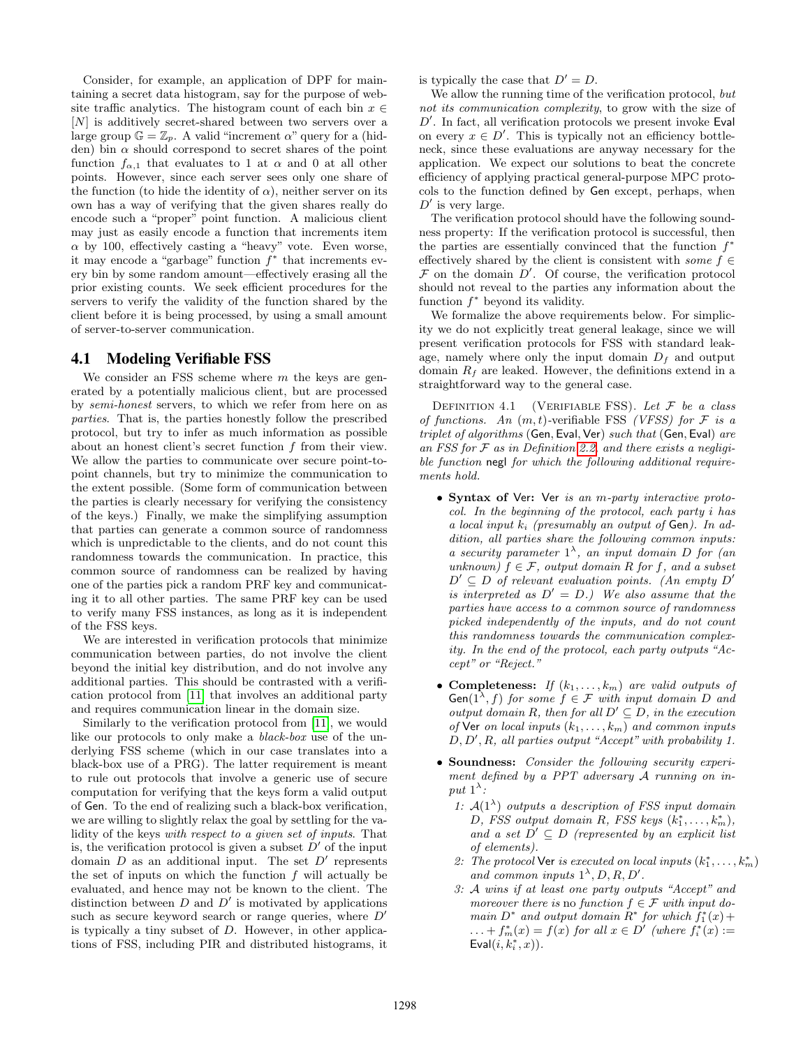Consider, for example, an application of DPF for maintaining a secret data histogram, say for the purpose of website traffic analytics. The histogram count of each bin  $x \in$ [N] is additively secret-shared between two servers over a large group  $\mathbb{G} = \mathbb{Z}_p$ . A valid "increment  $\alpha$ " query for a (hidden) bin  $\alpha$  should correspond to secret shares of the point function  $f_{\alpha,1}$  that evaluates to 1 at  $\alpha$  and 0 at all other points. However, since each server sees only one share of the function (to hide the identity of  $\alpha$ ), neither server on its own has a way of verifying that the given shares really do encode such a "proper" point function. A malicious client may just as easily encode a function that increments item  $\alpha$  by 100, effectively casting a "heavy" vote. Even worse, it may encode a "garbage" function  $f^*$  that increments every bin by some random amount—effectively erasing all the prior existing counts. We seek efficient procedures for the servers to verify the validity of the function shared by the client before it is being processed, by using a small amount of server-to-server communication.

#### 4.1 Modeling Verifiable FSS

We consider an FSS scheme where  $m$  the keys are generated by a potentially malicious client, but are processed by semi-honest servers, to which we refer from here on as parties. That is, the parties honestly follow the prescribed protocol, but try to infer as much information as possible about an honest client's secret function f from their view. We allow the parties to communicate over secure point-topoint channels, but try to minimize the communication to the extent possible. (Some form of communication between the parties is clearly necessary for verifying the consistency of the keys.) Finally, we make the simplifying assumption that parties can generate a common source of randomness which is unpredictable to the clients, and do not count this randomness towards the communication. In practice, this common source of randomness can be realized by having one of the parties pick a random PRF key and communicating it to all other parties. The same PRF key can be used to verify many FSS instances, as long as it is independent of the FSS keys.

We are interested in verification protocols that minimize communication between parties, do not involve the client beyond the initial key distribution, and do not involve any additional parties. This should be contrasted with a verification protocol from [\[11\]](#page-10-7) that involves an additional party and requires communication linear in the domain size.

Similarly to the verification protocol from [\[11\]](#page-10-7), we would like our protocols to only make a *black-box* use of the underlying FSS scheme (which in our case translates into a black-box use of a PRG). The latter requirement is meant to rule out protocols that involve a generic use of secure computation for verifying that the keys form a valid output of Gen. To the end of realizing such a black-box verification, we are willing to slightly relax the goal by settling for the validity of the keys with respect to a given set of inputs. That is, the verification protocol is given a subset  $D'$  of the input domain  $D$  as an additional input. The set  $D'$  represents the set of inputs on which the function  $f$  will actually be evaluated, and hence may not be known to the client. The distinction between  $D$  and  $D'$  is motivated by applications such as secure keyword search or range queries, where  $D'$ is typically a tiny subset of  $D$ . However, in other applications of FSS, including PIR and distributed histograms, it

is typically the case that  $D' = D$ .

We allow the running time of the verification protocol, but not its communication complexity, to grow with the size of  $D'$ . In fact, all verification protocols we present invoke Eval on every  $x \in D'$ . This is typically not an efficiency bottleneck, since these evaluations are anyway necessary for the application. We expect our solutions to beat the concrete efficiency of applying practical general-purpose MPC protocols to the function defined by Gen except, perhaps, when  $D'$  is very large.

The verification protocol should have the following soundness property: If the verification protocol is successful, then the parties are essentially convinced that the function  $f^*$ effectively shared by the client is consistent with *some*  $f \in$  $\mathcal F$  on the domain  $D'$ . Of course, the verification protocol should not reveal to the parties any information about the function  $f^*$  beyond its validity.

We formalize the above requirements below. For simplicity we do not explicitly treat general leakage, since we will present verification protocols for FSS with standard leakage, namely where only the input domain  $D_f$  and output domain  $R_f$  are leaked. However, the definitions extend in a straightforward way to the general case.

DEFINITION 4.1 (VERIFIABLE FSS). Let  $F$  be a class of functions. An  $(m, t)$ -verifiable FSS (VFSS) for  $\mathcal F$  is a triplet of algorithms (Gen, Eval, Ver) such that (Gen, Eval) are an FSS for  $F$  as in Definition [2.2,](#page-2-3) and there exists a negligible function negl for which the following additional requirements hold.

- Syntax of Ver: Ver is an m-party interactive protocol. In the beginning of the protocol, each party i has a local input  $k_i$  (presumably an output of Gen). In addition, all parties share the following common inputs: a security parameter  $1^{\lambda}$ , an input domain D for (an unknown)  $f \in \mathcal{F}$ , output domain R for f, and a subset  $D' \subseteq D$  of relevant evaluation points. (An empty D' is interpreted as  $D' = D$ .) We also assume that the parties have access to a common source of randomness picked independently of the inputs, and do not count this randomness towards the communication complexity. In the end of the protocol, each party outputs "Accept" or "Reject."
- Completeness: If  $(k_1, \ldots, k_m)$  are valid outputs of  $Gen(1^{\lambda}, f)$  for some  $f \in \mathcal{F}$  with input domain D and output domain R, then for all  $D' \subseteq D$ , in the execution of Ver on local inputs  $(k_1, \ldots, k_m)$  and common inputs  $D, D', R$ , all parties output "Accept" with probability 1.
- Soundness: Consider the following security experiment defined by a PPT adversary A running on input  $1^{\lambda}$ :
	- 1:  $A(1^{\lambda})$  outputs a description of FSS input domain  $D, FSS$  output domain  $R, FSS$  keys  $(k_1^*, \ldots, k_m^*)$ , and a set  $D' \subseteq D$  (represented by an explicit list of elements).
	- 2: The protocol Ver is executed on local inputs  $(k_1^*, \ldots, k_m^*)$ and common inputs  $1^{\lambda}, D, R, D'$ .
	- 3: A wins if at least one party outputs "Accept" and moreover there is no function  $f \in \mathcal{F}$  with input domain  $D^*$  and output domain  $R^*$  for which  $f_1^*(x)$  +  $\dots + f_m^*(x) = f(x)$  for all  $x \in D'$  (where  $f_i^*(x) :=$  $\mathsf{Eval}(i, k_i^*, x)).$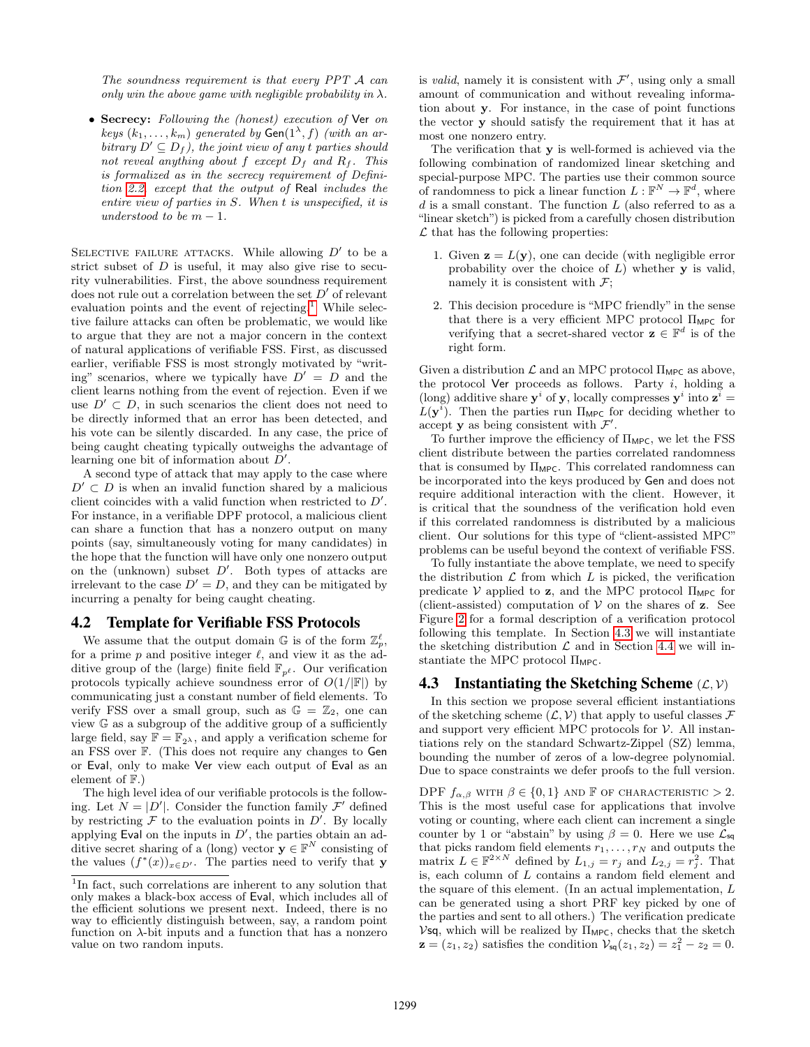The soundness requirement is that every PPT A can only win the above game with negligible probability in  $\lambda$ .

• Secrecy: Following the (honest) execution of Ver on keys  $(k_1, \ldots, k_m)$  generated by  $Gen(1^{\lambda}, f)$  (with an arbitrary  $D' \subseteq D_f$ , the joint view of any t parties should not reveal anything about  $f$  except  $D_f$  and  $R_f$ . This is formalized as in the secrecy requirement of Definition [2.2,](#page-2-3) except that the output of Real includes the entire view of parties in S. When t is unspecified, it is understood to be  $m-1$ .

SELECTIVE FAILURE ATTACKS. While allowing  $D'$  to be a strict subset of  $D$  is useful, it may also give rise to security vulnerabilities. First, the above soundness requirement does not rule out a correlation between the set  $D'$  of relevant evaluation points and the event of rejecting.<sup>[1](#page-7-0)</sup> While selective failure attacks can often be problematic, we would like to argue that they are not a major concern in the context of natural applications of verifiable FSS. First, as discussed earlier, verifiable FSS is most strongly motivated by "writing" scenarios, where we typically have  $D' = D$  and the client learns nothing from the event of rejection. Even if we use  $D' \subset D$ , in such scenarios the client does not need to be directly informed that an error has been detected, and his vote can be silently discarded. In any case, the price of being caught cheating typically outweighs the advantage of learning one bit of information about  $D'$ .

A second type of attack that may apply to the case where  $D' \subset D$  is when an invalid function shared by a malicious client coincides with a valid function when restricted to  $D'$ . For instance, in a verifiable DPF protocol, a malicious client can share a function that has a nonzero output on many points (say, simultaneously voting for many candidates) in the hope that the function will have only one nonzero output on the (unknown) subset  $D'$ . Both types of attacks are irrelevant to the case  $D' = D$ , and they can be mitigated by incurring a penalty for being caught cheating.

#### 4.2 Template for Verifiable FSS Protocols

We assume that the output domain  $\mathbb G$  is of the form  $\mathbb Z_p^{\ell}$ , for a prime  $p$  and positive integer  $\ell$ , and view it as the additive group of the (large) finite field  $\mathbb{F}_{p^{\ell}}$ . Our verification protocols typically achieve soundness error of  $O(1/|\mathbb{F}|)$  by communicating just a constant number of field elements. To verify FSS over a small group, such as  $\mathbb{G} = \mathbb{Z}_2$ , one can view G as a subgroup of the additive group of a sufficiently large field, say  $\mathbb{F} = \mathbb{F}_{2^{\lambda}}$ , and apply a verification scheme for an FSS over F. (This does not require any changes to Gen or Eval, only to make Ver view each output of Eval as an element of F.)

The high level idea of our verifiable protocols is the following. Let  $N = |D'|$ . Consider the function family  $\mathcal{F}'$  defined by restricting  $\mathcal F$  to the evaluation points in  $D'$ . By locally applying Eval on the inputs in  $D'$ , the parties obtain an additive secret sharing of a (long) vector  $\mathbf{y} \in \mathbb{F}^N$  consisting of the values  $(f^*(x))_{x \in D'}$ . The parties need to verify that **y** 

is valid, namely it is consistent with  $\mathcal{F}'$ , using only a small amount of communication and without revealing information about y. For instance, in the case of point functions the vector y should satisfy the requirement that it has at most one nonzero entry.

The verification that y is well-formed is achieved via the following combination of randomized linear sketching and special-purpose MPC. The parties use their common source of randomness to pick a linear function  $L : \mathbb{F}^N \to \mathbb{F}^d$ , where  $d$  is a small constant. The function  $L$  (also referred to as a "linear sketch") is picked from a carefully chosen distribution  $\mathcal L$  that has the following properties:

- 1. Given  $\mathbf{z} = L(\mathbf{v})$ , one can decide (with negligible error probability over the choice of  $L$ ) whether  $y$  is valid, namely it is consistent with  $\mathcal{F}$ ;
- 2. This decision procedure is "MPC friendly" in the sense that there is a very efficient MPC protocol  $\Pi_{\text{MPC}}$  for verifying that a secret-shared vector  $\mathbf{z} \in \mathbb{F}^d$  is of the right form.

Given a distribution  $\mathcal L$  and an MPC protocol  $\Pi_{\text{MPC}}$  as above, the protocol Ver proceeds as follows. Party  $i$ , holding a (long) additive share  $y^i$  of y, locally compresses  $y^i$  into  $z^i =$  $L(\mathbf{y}^i)$ . Then the parties run  $\Pi_{\text{MPC}}$  for deciding whether to accept **y** as being consistent with  $\mathcal{F}'$ .

To further improve the efficiency of  $\Pi_{\text{MPC}}$ , we let the FSS client distribute between the parties correlated randomness that is consumed by  $\Pi_{\text{MPC}}$ . This correlated randomness can be incorporated into the keys produced by Gen and does not require additional interaction with the client. However, it is critical that the soundness of the verification hold even if this correlated randomness is distributed by a malicious client. Our solutions for this type of "client-assisted MPC" problems can be useful beyond the context of verifiable FSS.

To fully instantiate the above template, we need to specify the distribution  $\mathcal L$  from which  $L$  is picked, the verification predicate V applied to z, and the MPC protocol  $\Pi_{\text{MPC}}$  for (client-assisted) computation of  $V$  on the shares of **z**. See Figure [2](#page-8-0) for a formal description of a verification protocol following this template. In Section [4.3](#page-7-1) we will instantiate the sketching distribution  $\mathcal L$  and in Section [4.4](#page-8-1) we will instantiate the MPC protocol Π<sub>MPC</sub>.

## <span id="page-7-1"></span>4.3 Instantiating the Sketching Scheme  $(L, V)$

In this section we propose several efficient instantiations of the sketching scheme  $(\mathcal{L}, \mathcal{V})$  that apply to useful classes  $\mathcal F$ and support very efficient MPC protocols for  $\mathcal V$ . All instantiations rely on the standard Schwartz-Zippel (SZ) lemma, bounding the number of zeros of a low-degree polynomial. Due to space constraints we defer proofs to the full version.

DPF  $f_{\alpha,\beta}$  with  $\beta \in \{0,1\}$  and F of characteristic > 2. This is the most useful case for applications that involve voting or counting, where each client can increment a single counter by 1 or "abstain" by using  $\beta = 0$ . Here we use  $\mathcal{L}_{sq}$ that picks random field elements  $r_1, \ldots, r_N$  and outputs the matrix  $L \in \mathbb{F}^{2 \times N}$  defined by  $L_{1,j} = r_j$  and  $L_{2,j} = r_j^2$ . That is, each column of L contains a random field element and the square of this element. (In an actual implementation, L can be generated using a short PRF key picked by one of the parties and sent to all others.) The verification predicate Vsq, which will be realized by  $\Pi_{\text{MPC}}$ , checks that the sketch  $z = (z_1, z_2)$  satisfies the condition  $\mathcal{V}_{sq}(z_1, z_2) = z_1^2 - z_2 = 0.$ 

<span id="page-7-0"></span><sup>&</sup>lt;sup>1</sup>In fact, such correlations are inherent to any solution that only makes a black-box access of Eval, which includes all of the efficient solutions we present next. Indeed, there is no way to efficiently distinguish between, say, a random point function on  $\lambda$ -bit inputs and a function that has a nonzero value on two random inputs.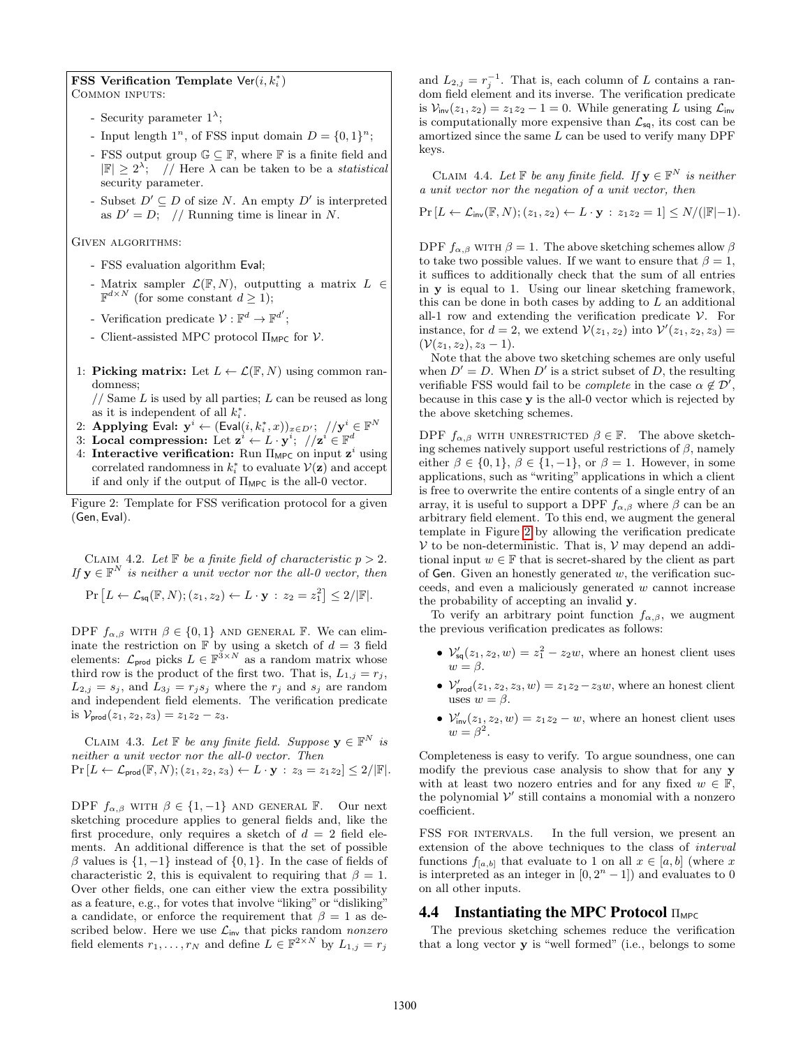<span id="page-8-0"></span>FSS Verification Template  $Ver(i, k_i^*)$ Common inputs:

- Security parameter  $1^{\lambda}$ ;
- Input length  $1^n$ , of FSS input domain  $D = \{0, 1\}^n$ ;
- FSS output group  $\mathbb{G} \subseteq \mathbb{F}$ , where  $\mathbb{F}$  is a finite field and  $|\mathbb{F}| \geq 2^{\lambda};$  // Here  $\lambda$  can be taken to be a *statistical* security parameter.
- Subset  $D' \subseteq D$  of size N. An empty  $D'$  is interpreted as  $D' = D$ ; // Running time is linear in N.

Given algorithms:

- FSS evaluation algorithm Eval;
- Matrix sampler  $\mathcal{L}(\mathbb{F}, N)$ , outputting a matrix  $L \in$  $\mathbb{F}^{d\times N}$  (for some constant  $d\geq 1$ );
- Verification predicate  $\mathcal{V}: \mathbb{F}^d \to \mathbb{F}^{d'}$ ;
- Client-assisted MPC protocol  $\Pi_{\text{MPC}}$  for  $\mathcal{V}$ .
- 1: **Picking matrix:** Let  $L \leftarrow \mathcal{L}(\mathbb{F}, N)$  using common randomness;

 $//$  Same  $L$  is used by all parties;  $L$  can be reused as long as it is independent of all  $k_i^*$ .

- 2: Applying Eval:  $\mathbf{y}^i \leftarrow (\textsf{Eval}(i,k^*_i,x))_{x \in D'};$   $//\mathbf{y}^i \in \mathbb{F}^N$
- 3: Local compression: Let  $\mathbf{z}^i \leftarrow L \cdot \mathbf{y}^i$ ;  $//\mathbf{z}^i \in \mathbb{F}^d$
- 4: Interactive verification: Run  $\Pi_{\text{MPC}}$  on input  $\mathbf{z}^i$  using correlated randomness in  $k_i^*$  to evaluate  $\mathcal{V}(\mathbf{z})$  and accept if and only if the output of  $\Pi_{\text{MPC}}$  is the all-0 vector.

Figure 2: Template for FSS verification protocol for a given (Gen, Eval).

CLAIM 4.2. Let  $\mathbb F$  be a finite field of characteristic  $p > 2$ . If  $y \in \mathbb{F}^N$  is neither a unit vector nor the all-0 vector, then

$$
\Pr\left[L \leftarrow \mathcal{L}_{\text{sq}}(\mathbb{F}, N); (z_1, z_2) \leftarrow L \cdot \mathbf{y} : z_2 = z_1^2\right] \leq 2/|\mathbb{F}|.
$$

DPF  $f_{\alpha,\beta}$  with  $\beta \in \{0,1\}$  and general F. We can eliminate the restriction on  $\mathbb F$  by using a sketch of  $d=3$  field elements:  $\mathcal{L}_{\text{prod}}$  picks  $L \in \mathbb{F}^{3 \times N}$  as a random matrix whose third row is the product of the first two. That is,  $L_{1,j} = r_j$ ,  $L_{2,j} = s_j$ , and  $L_{3j} = r_j s_j$  where the  $r_j$  and  $s_j$  are random and independent field elements. The verification predicate is  $V_{\text{prod}}(z_1, z_2, z_3) = z_1z_2 - z_3.$ 

CLAIM 4.3. Let  $\mathbb F$  be any finite field. Suppose  $\mathbf{y} \in \mathbb F^N$  is neither a unit vector nor the all-0 vector. Then  $\Pr\left[L \leftarrow \mathcal{L}_{\text{prod}}(\mathbb{F}, N); (z_1, z_2, z_3) \leftarrow L \cdot \mathbf{y} : z_3 = z_1 z_2 \right] \leq 2/|\mathbb{F}|.$ 

DPF  $f_{\alpha,\beta}$  with  $\beta \in \{1,-1\}$  and general F. Our next sketching procedure applies to general fields and, like the first procedure, only requires a sketch of  $d = 2$  field elements. An additional difference is that the set of possible  $\beta$  values is  $\{1, -1\}$  instead of  $\{0, 1\}$ . In the case of fields of characteristic 2, this is equivalent to requiring that  $\beta = 1$ . Over other fields, one can either view the extra possibility as a feature, e.g., for votes that involve "liking" or "disliking" a candidate, or enforce the requirement that  $\beta = 1$  as described below. Here we use  $\mathcal{L}_{\text{inv}}$  that picks random nonzero field elements  $r_1, \ldots, r_N$  and define  $\overline{L} \in \mathbb{F}^{2 \times N}$  by  $L_{1,j} = r_j$ 

and  $L_{2,j} = r_j^{-1}$ . That is, each column of L contains a random field element and its inverse. The verification predicate is  $\mathcal{V}_{inv}(z_1, z_2) = z_1 z_2 - 1 = 0$ . While generating L using  $\mathcal{L}_{inv}$ is computationally more expensive than  $\mathcal{L}_{sq}$ , its cost can be amortized since the same L can be used to verify many DPF keys.

CLAIM 4.4. Let  $\mathbb F$  be any finite field. If  $\mathbf{y} \in \mathbb F^N$  is neither a unit vector nor the negation of a unit vector, then

$$
\Pr\left[L \leftarrow \mathcal{L}_{\text{inv}}(\mathbb{F}, N); (z_1, z_2) \leftarrow L \cdot \mathbf{y} : z_1 z_2 = 1\right] \leq N/(|\mathbb{F}|-1).
$$

DPF  $f_{\alpha,\beta}$  with  $\beta = 1$ . The above sketching schemes allow  $\beta$ to take two possible values. If we want to ensure that  $\beta = 1$ , it suffices to additionally check that the sum of all entries in y is equal to 1. Using our linear sketching framework, this can be done in both cases by adding to  $L$  an additional all-1 row and extending the verification predicate  $\mathcal V$ . For instance, for  $d = 2$ , we extend  $V(z_1, z_2)$  into  $V'(z_1, z_2, z_3) =$  $(\mathcal{V}(z_1, z_2), z_3 - 1).$ 

Note that the above two sketching schemes are only useful when  $D' = D$ . When D' is a strict subset of D, the resulting verifiable FSS would fail to be *complete* in the case  $\alpha \notin \mathcal{D}'$ , because in this case y is the all-0 vector which is rejected by the above sketching schemes.

DPF  $f_{\alpha,\beta}$  with UNRESTRICTED  $\beta \in \mathbb{F}$ . The above sketching schemes natively support useful restrictions of  $\beta$ , namely either  $\beta \in \{0,1\}, \beta \in \{1,-1\}, \text{ or } \beta = 1.$  However, in some applications, such as "writing" applications in which a client is free to overwrite the entire contents of a single entry of an array, it is useful to support a DPF  $f_{\alpha,\beta}$  where  $\beta$  can be an arbitrary field element. To this end, we augment the general template in Figure [2](#page-8-0) by allowing the verification predicate  $V$  to be non-deterministic. That is,  $V$  may depend an additional input  $w \in \mathbb{F}$  that is secret-shared by the client as part of Gen. Given an honestly generated  $w$ , the verification succeeds, and even a maliciously generated  $w$  cannot increase the probability of accepting an invalid y.

To verify an arbitrary point function  $f_{\alpha,\beta}$ , we augment the previous verification predicates as follows:

- $\mathcal{V}'_{\text{sq}}(z_1, z_2, w) = z_1^2 z_2w$ , where an honest client uses  $w = \beta$ .
- $\mathcal{V}'_{\text{prod}}(z_1, z_2, z_3, w) = z_1 z_2 z_3 w$ , where an honest client uses  $w = \beta$ .
- $\mathcal{V}'_{\text{inv}}(z_1, z_2, w) = z_1 z_2 w$ , where an honest client uses  $w = \beta^2$ .

Completeness is easy to verify. To argue soundness, one can modify the previous case analysis to show that for any y with at least two nozero entries and for any fixed  $w \in \mathbb{F}$ , the polynomial  $\mathcal V'$  still contains a monomial with a nonzero coefficient.

FSS for intervals. In the full version, we present an extension of the above techniques to the class of interval functions  $f_{[a,b]}$  that evaluate to 1 on all  $x \in [a,b]$  (where x is interpreted as an integer in  $[0, 2<sup>n</sup> - 1]$  and evaluates to 0 on all other inputs.

### <span id="page-8-1"></span>4.4 Instantiating the MPC Protocol  $\Pi_{\text{MPC}}$

The previous sketching schemes reduce the verification that a long vector y is "well formed" (i.e., belongs to some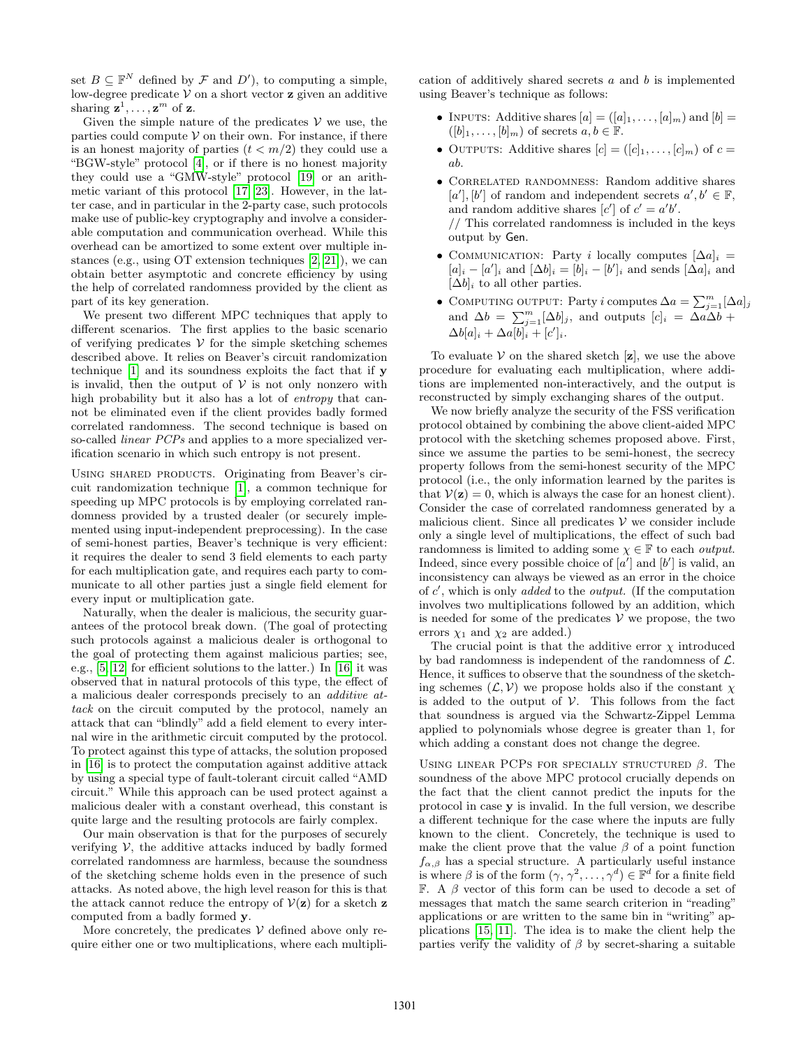set  $B \subseteq \mathbb{F}^N$  defined by  $\mathcal F$  and  $D'$ ), to computing a simple, low-degree predicate  $V$  on a short vector **z** given an additive sharing  $\mathbf{z}^1, \dots, \mathbf{z}^m$  of  $\mathbf{z}$ .

Given the simple nature of the predicates  $V$  we use, the parties could compute  $V$  on their own. For instance, if there is an honest majority of parties  $(t < m/2)$  they could use a "BGW-style" protocol [\[4\]](#page-10-8), or if there is no honest majority they could use a "GMW-style" protocol [\[19\]](#page-10-9) or an arithmetic variant of this protocol [\[17,](#page-10-10) [23\]](#page-11-4). However, in the latter case, and in particular in the 2-party case, such protocols make use of public-key cryptography and involve a considerable computation and communication overhead. While this overhead can be amortized to some extent over multiple instances (e.g., using OT extension techniques [\[2,](#page-10-11) [21\]](#page-10-12)), we can obtain better asymptotic and concrete efficiency by using the help of correlated randomness provided by the client as part of its key generation.

We present two different MPC techniques that apply to different scenarios. The first applies to the basic scenario of verifying predicates  $V$  for the simple sketching schemes described above. It relies on Beaver's circuit randomization technique [\[1\]](#page-10-13) and its soundness exploits the fact that if y is invalid, then the output of  $V$  is not only nonzero with high probability but it also has a lot of *entropy* that cannot be eliminated even if the client provides badly formed correlated randomness. The second technique is based on so-called *linear PCPs* and applies to a more specialized verification scenario in which such entropy is not present.

USING SHARED PRODUCTS. Originating from Beaver's circuit randomization technique [\[1\]](#page-10-13), a common technique for speeding up MPC protocols is by employing correlated randomness provided by a trusted dealer (or securely implemented using input-independent preprocessing). In the case of semi-honest parties, Beaver's technique is very efficient: it requires the dealer to send 3 field elements to each party for each multiplication gate, and requires each party to communicate to all other parties just a single field element for every input or multiplication gate.

Naturally, when the dealer is malicious, the security guarantees of the protocol break down. (The goal of protecting such protocols against a malicious dealer is orthogonal to the goal of protecting them against malicious parties; see, e.g., [\[5,](#page-10-14) [12\]](#page-10-15) for efficient solutions to the latter.) In [\[16\]](#page-10-16) it was observed that in natural protocols of this type, the effect of a malicious dealer corresponds precisely to an additive attack on the circuit computed by the protocol, namely an attack that can "blindly" add a field element to every internal wire in the arithmetic circuit computed by the protocol. To protect against this type of attacks, the solution proposed in [\[16\]](#page-10-16) is to protect the computation against additive attack by using a special type of fault-tolerant circuit called "AMD circuit." While this approach can be used protect against a malicious dealer with a constant overhead, this constant is quite large and the resulting protocols are fairly complex.

Our main observation is that for the purposes of securely verifying  $V$ , the additive attacks induced by badly formed correlated randomness are harmless, because the soundness of the sketching scheme holds even in the presence of such attacks. As noted above, the high level reason for this is that the attack cannot reduce the entropy of  $\mathcal{V}(z)$  for a sketch z computed from a badly formed y.

More concretely, the predicates  $V$  defined above only require either one or two multiplications, where each multiplication of additively shared secrets  $a$  and  $b$  is implemented using Beaver's technique as follows:

- INPUTS: Additive shares  $[a] = ([a]_1, \ldots, [a]_m)$  and  $[b] =$  $([b]_1, \ldots, [b]_m)$  of secrets  $a, b \in \mathbb{F}$ .
- OUTPUTS: Additive shares  $[c] = ([c]_1, \ldots, [c]_m)$  of  $c =$ ab.
- Correlated randomness: Random additive shares [a'], [b'] of random and independent secrets  $a', b' \in \mathbb{F}$ , and random additive shares  $[c']$  of  $c' = a'b'$ . // This correlated randomness is included in the keys output by Gen.
- COMMUNICATION: Party *i* locally computes  $[\Delta a]_i$  =  $[a]_i - [a']_i$  and  $[\Delta b]_i = [b]_i - [b']_i$  and sends  $[\Delta a]_i$  and  $[\Delta b]_i$  to all other parties.
- COMPUTING OUTPUT: Party i computes  $\Delta a = \sum_{j=1}^{m} [\Delta a]_j$ and  $\Delta b = \sum_{j=1}^{m} [\Delta b]_j$ , and outputs  $[c]_i = \Delta a \Delta b +$  $\Delta b[a]_i + \Delta a[b]_i + [c']_i.$

To evaluate  $V$  on the shared sketch  $[z]$ , we use the above procedure for evaluating each multiplication, where additions are implemented non-interactively, and the output is reconstructed by simply exchanging shares of the output.

We now briefly analyze the security of the FSS verification protocol obtained by combining the above client-aided MPC protocol with the sketching schemes proposed above. First, since we assume the parties to be semi-honest, the secrecy property follows from the semi-honest security of the MPC protocol (i.e., the only information learned by the parites is that  $V(\mathbf{z}) = 0$ , which is always the case for an honest client). Consider the case of correlated randomness generated by a malicious client. Since all predicates  $\mathcal V$  we consider include only a single level of multiplications, the effect of such bad randomness is limited to adding some  $\chi \in \mathbb{F}$  to each *output*. Indeed, since every possible choice of  $[a']$  and  $[b']$  is valid, an inconsistency can always be viewed as an error in the choice of  $c'$ , which is only *added* to the *output*. (If the computation involves two multiplications followed by an addition, which is needed for some of the predicates  $V$  we propose, the two errors  $\chi_1$  and  $\chi_2$  are added.)

The crucial point is that the additive error  $\chi$  introduced by bad randomness is independent of the randomness of  $\mathcal{L}$ . Hence, it suffices to observe that the soundness of the sketching schemes  $(\mathcal{L}, \mathcal{V})$  we propose holds also if the constant  $\chi$ is added to the output of  $V$ . This follows from the fact that soundness is argued via the Schwartz-Zippel Lemma applied to polynomials whose degree is greater than 1, for which adding a constant does not change the degree.

USING LINEAR PCPS FOR SPECIALLY STRUCTURED  $\beta$ . The soundness of the above MPC protocol crucially depends on the fact that the client cannot predict the inputs for the protocol in case y is invalid. In the full version, we describe a different technique for the case where the inputs are fully known to the client. Concretely, the technique is used to make the client prove that the value  $\beta$  of a point function  $f_{\alpha,\beta}$  has a special structure. A particularly useful instance is where  $\beta$  is of the form  $(\gamma, \gamma^2, \dots, \gamma^d) \in \mathbb{F}^d$  for a finite field F. A  $\beta$  vector of this form can be used to decode a set of messages that match the same search criterion in "reading" applications or are written to the same bin in "writing" applications [\[15,](#page-10-5) [11\]](#page-10-7). The idea is to make the client help the parties verify the validity of  $\beta$  by secret-sharing a suitable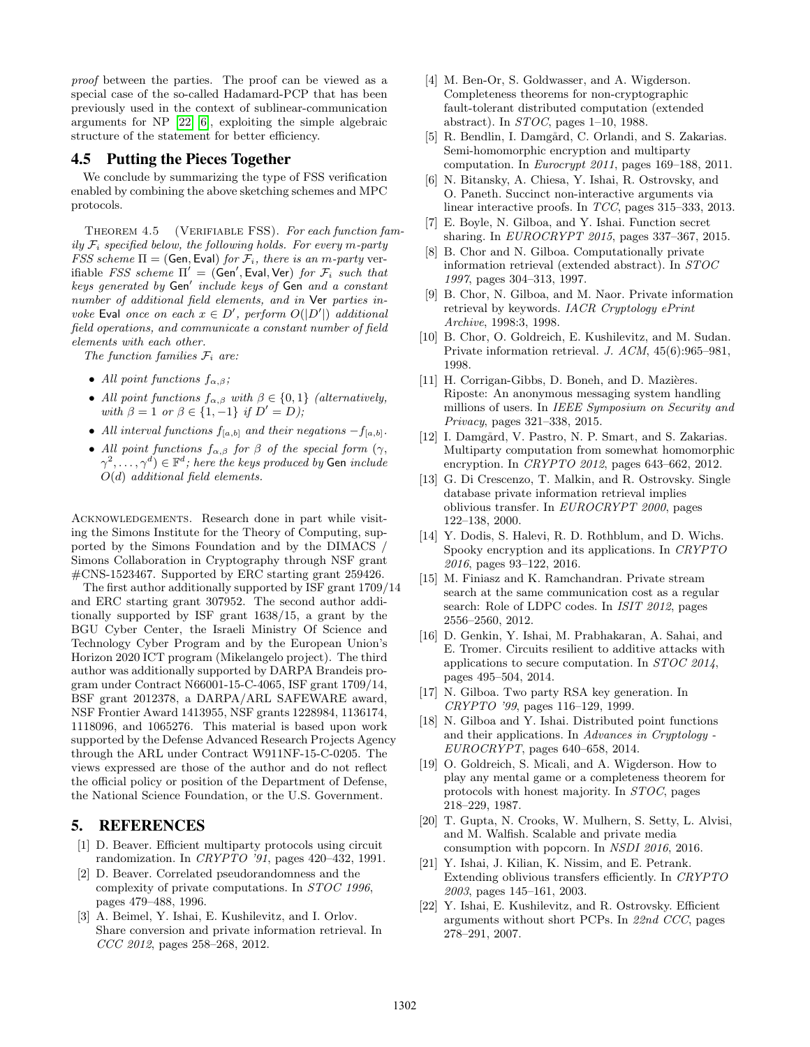proof between the parties. The proof can be viewed as a special case of the so-called Hadamard-PCP that has been previously used in the context of sublinear-communication arguments for NP [\[22,](#page-10-17) [6\]](#page-10-18), exploiting the simple algebraic structure of the statement for better efficiency.

### 4.5 Putting the Pieces Together

We conclude by summarizing the type of FSS verification enabled by combining the above sketching schemes and MPC protocols.

THEOREM 4.5 (VERIFIABLE FSS). For each function family  $\mathcal{F}_i$  specified below, the following holds. For every m-party FSS scheme  $\Pi = (Gen,Eval)$  for  $\mathcal{F}_i$ , there is an m-party verifiable FSS scheme  $\Pi' = (Gen', Eva, Ver)$  for  $\mathcal{F}_i$  such that keys generated by Gen' include keys of Gen and a constant number of additional field elements, and in Ver parties invoke Eval once on each  $x \in D'$ , perform  $O(|D'|)$  additional field operations, and communicate a constant number of field elements with each other.

The function families  $\mathcal{F}_i$  are:

- All point functions  $f_{\alpha,\beta}$ ;
- All point functions  $f_{\alpha,\beta}$  with  $\beta \in \{0,1\}$  (alternatively, with  $\beta = 1$  or  $\beta \in \{1, -1\}$  if  $D' = D$ );
- All interval functions  $f_{[a,b]}$  and their negations  $-f_{[a,b]}$ .
- All point functions  $f_{\alpha,\beta}$  for  $\beta$  of the special form  $(\gamma,$  $(\gamma^2, \dots, \gamma^d) \in \mathbb{F}^d$ ; here the keys produced by Gen include  $O(d)$  additional field elements.

Acknowledgements. Research done in part while visiting the Simons Institute for the Theory of Computing, supported by the Simons Foundation and by the DIMACS / Simons Collaboration in Cryptography through NSF grant #CNS-1523467. Supported by ERC starting grant 259426.

The first author additionally supported by ISF grant 1709/14 and ERC starting grant 307952. The second author additionally supported by ISF grant 1638/15, a grant by the BGU Cyber Center, the Israeli Ministry Of Science and Technology Cyber Program and by the European Union's Horizon 2020 ICT program (Mikelangelo project). The third author was additionally supported by DARPA Brandeis program under Contract N66001-15-C-4065, ISF grant 1709/14, BSF grant 2012378, a DARPA/ARL SAFEWARE award, NSF Frontier Award 1413955, NSF grants 1228984, 1136174, 1118096, and 1065276. This material is based upon work supported by the Defense Advanced Research Projects Agency through the ARL under Contract W911NF-15-C-0205. The views expressed are those of the author and do not reflect the official policy or position of the Department of Defense, the National Science Foundation, or the U.S. Government.

### 5. REFERENCES

- <span id="page-10-13"></span>[1] D. Beaver. Efficient multiparty protocols using circuit randomization. In CRYPTO '91, pages 420–432, 1991.
- <span id="page-10-11"></span>[2] D. Beaver. Correlated pseudorandomness and the complexity of private computations. In STOC 1996, pages 479–488, 1996.
- <span id="page-10-20"></span>[3] A. Beimel, Y. Ishai, E. Kushilevitz, and I. Orlov. Share conversion and private information retrieval. In CCC 2012, pages 258–268, 2012.
- <span id="page-10-8"></span>[4] M. Ben-Or, S. Goldwasser, and A. Wigderson. Completeness theorems for non-cryptographic fault-tolerant distributed computation (extended abstract). In STOC, pages 1–10, 1988.
- <span id="page-10-14"></span>[5] R. Bendlin, I. Damgård, C. Orlandi, and S. Zakarias. Semi-homomorphic encryption and multiparty computation. In Eurocrypt 2011, pages 169–188, 2011.
- <span id="page-10-18"></span>[6] N. Bitansky, A. Chiesa, Y. Ishai, R. Ostrovsky, and O. Paneth. Succinct non-interactive arguments via linear interactive proofs. In TCC, pages 315–333, 2013.
- <span id="page-10-0"></span>[7] E. Boyle, N. Gilboa, and Y. Ishai. Function secret sharing. In EUROCRYPT 2015, pages 337–367, 2015.
- <span id="page-10-4"></span>[8] B. Chor and N. Gilboa. Computationally private information retrieval (extended abstract). In STOC 1997, pages 304–313, 1997.
- <span id="page-10-6"></span>[9] B. Chor, N. Gilboa, and M. Naor. Private information retrieval by keywords. IACR Cryptology ePrint Archive, 1998:3, 1998.
- <span id="page-10-3"></span>[10] B. Chor, O. Goldreich, E. Kushilevitz, and M. Sudan. Private information retrieval. J. ACM, 45(6):965–981, 1998.
- <span id="page-10-7"></span>[11] H. Corrigan-Gibbs, D. Boneh, and D. Mazières. Riposte: An anonymous messaging system handling millions of users. In IEEE Symposium on Security and Privacy, pages 321–338, 2015.
- <span id="page-10-15"></span>[12] I. Damgård, V. Pastro, N. P. Smart, and S. Zakarias. Multiparty computation from somewhat homomorphic encryption. In CRYPTO 2012, pages 643–662, 2012.
- <span id="page-10-21"></span>[13] G. Di Crescenzo, T. Malkin, and R. Ostrovsky. Single database private information retrieval implies oblivious transfer. In EUROCRYPT 2000, pages 122–138, 2000.
- <span id="page-10-2"></span>[14] Y. Dodis, S. Halevi, R. D. Rothblum, and D. Wichs. Spooky encryption and its applications. In CRYPTO 2016, pages 93–122, 2016.
- <span id="page-10-5"></span>[15] M. Finiasz and K. Ramchandran. Private stream search at the same communication cost as a regular search: Role of LDPC codes. In ISIT 2012, pages 2556–2560, 2012.
- <span id="page-10-16"></span>[16] D. Genkin, Y. Ishai, M. Prabhakaran, A. Sahai, and E. Tromer. Circuits resilient to additive attacks with applications to secure computation. In STOC 2014, pages 495–504, 2014.
- <span id="page-10-10"></span>[17] N. Gilboa. Two party RSA key generation. In CRYPTO '99, pages 116–129, 1999.
- <span id="page-10-1"></span>[18] N. Gilboa and Y. Ishai. Distributed point functions and their applications. In Advances in Cryptology - EUROCRYPT, pages 640–658, 2014.
- <span id="page-10-9"></span>[19] O. Goldreich, S. Micali, and A. Wigderson. How to play any mental game or a completeness theorem for protocols with honest majority. In STOC, pages 218–229, 1987.
- <span id="page-10-19"></span>[20] T. Gupta, N. Crooks, W. Mulhern, S. Setty, L. Alvisi, and M. Walfish. Scalable and private media consumption with popcorn. In NSDI 2016, 2016.
- <span id="page-10-12"></span>[21] Y. Ishai, J. Kilian, K. Nissim, and E. Petrank. Extending oblivious transfers efficiently. In CRYPTO 2003, pages 145–161, 2003.
- <span id="page-10-17"></span>[22] Y. Ishai, E. Kushilevitz, and R. Ostrovsky. Efficient arguments without short PCPs. In 22nd CCC, pages 278–291, 2007.